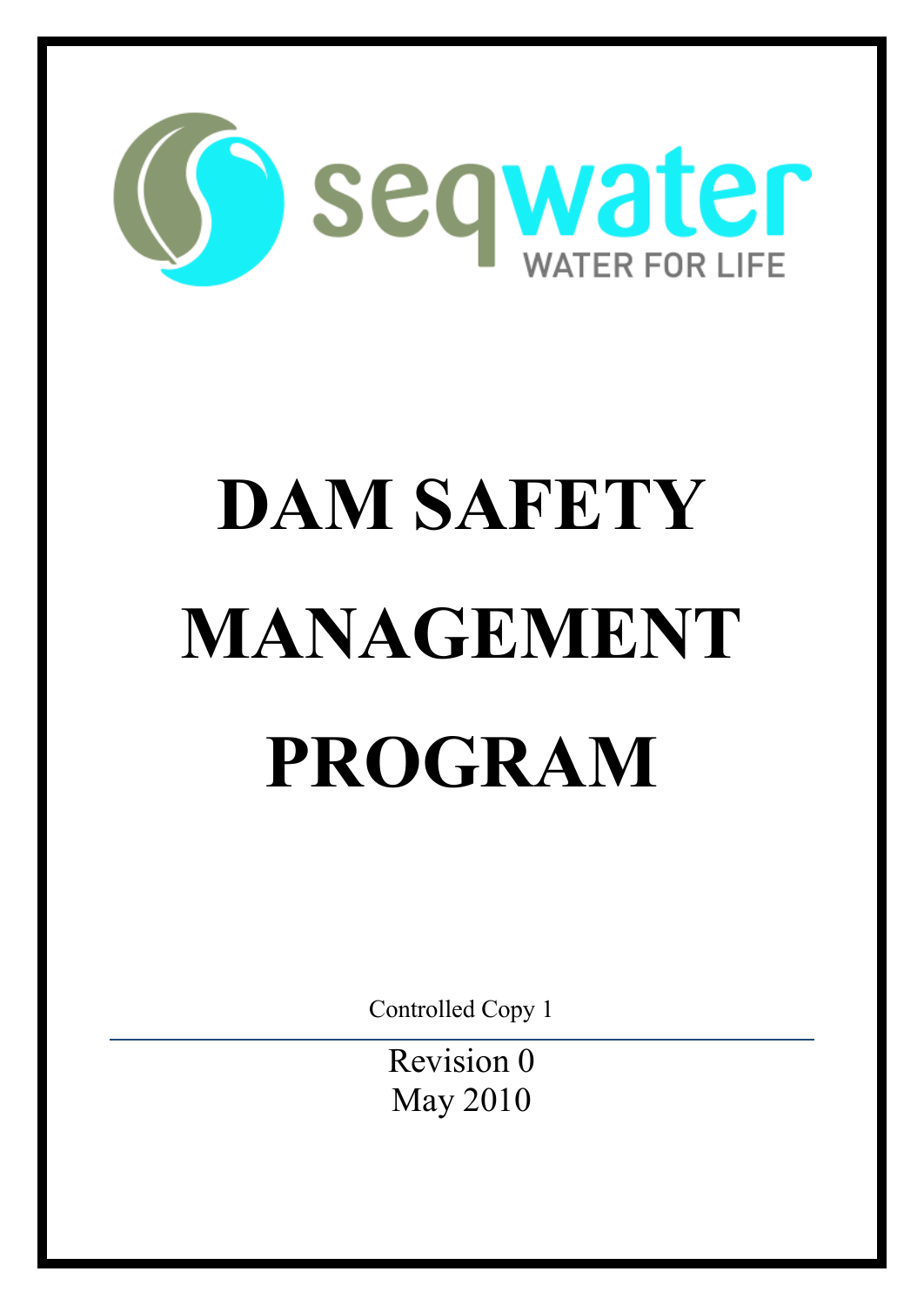

# **DAM SAFETY MANAGEMENT PROGRAM**

Controlled Copy 1

Revision 0 May 2010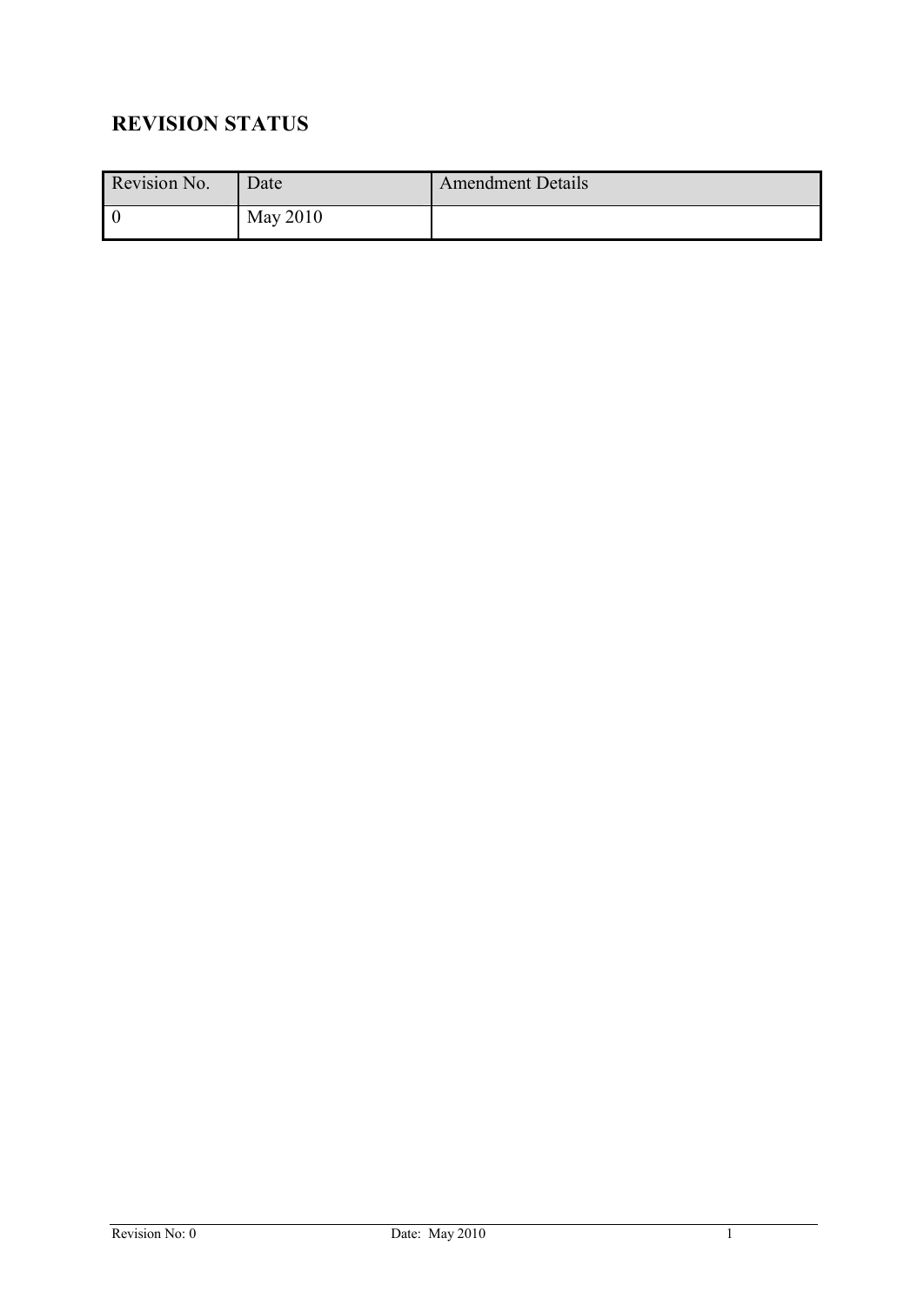# **REVISION STATUS**

| Revision No. | Date     | Amendment Details |
|--------------|----------|-------------------|
| l 0          | May 2010 |                   |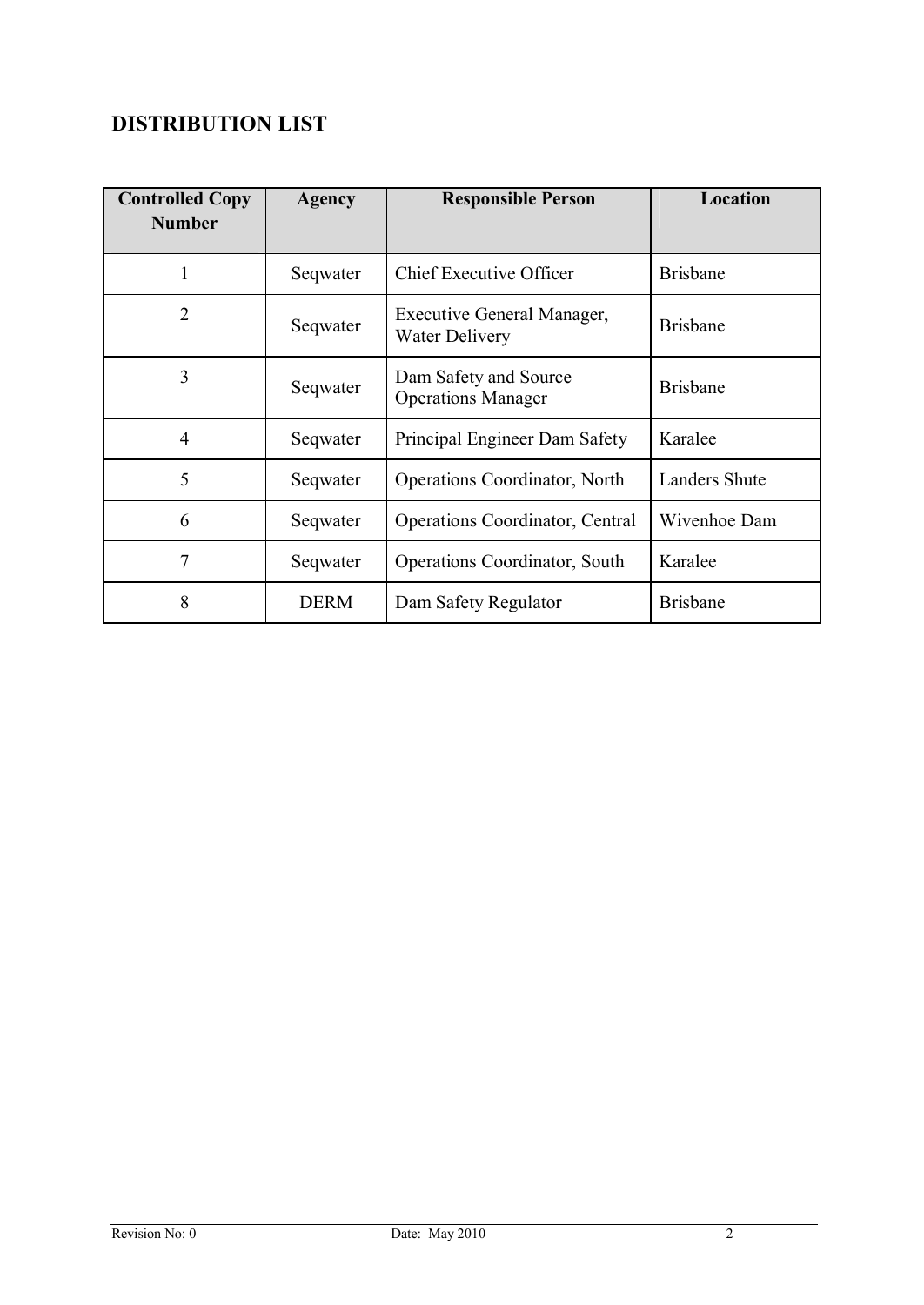# **DISTRIBUTION LIST**

| <b>Controlled Copy</b><br><b>Number</b> | <b>Agency</b> | <b>Responsible Person</b>                           | Location             |
|-----------------------------------------|---------------|-----------------------------------------------------|----------------------|
|                                         |               |                                                     |                      |
| 1                                       | Seqwater      | Chief Executive Officer                             | <b>Brisbane</b>      |
| $\overline{2}$                          | Seqwater      | Executive General Manager,<br><b>Water Delivery</b> | <b>Brisbane</b>      |
| 3                                       | Seqwater      | Dam Safety and Source<br><b>Operations Manager</b>  | <b>Brisbane</b>      |
| 4                                       | Seqwater      | Principal Engineer Dam Safety                       | Karalee              |
| 5                                       | Seqwater      | <b>Operations Coordinator, North</b>                | <b>Landers Shute</b> |
| 6                                       | Seqwater      | <b>Operations Coordinator, Central</b>              | Wivenhoe Dam         |
| 7                                       | Seqwater      | Operations Coordinator, South                       | Karalee              |
| 8                                       | <b>DERM</b>   | Dam Safety Regulator                                | <b>Brisbane</b>      |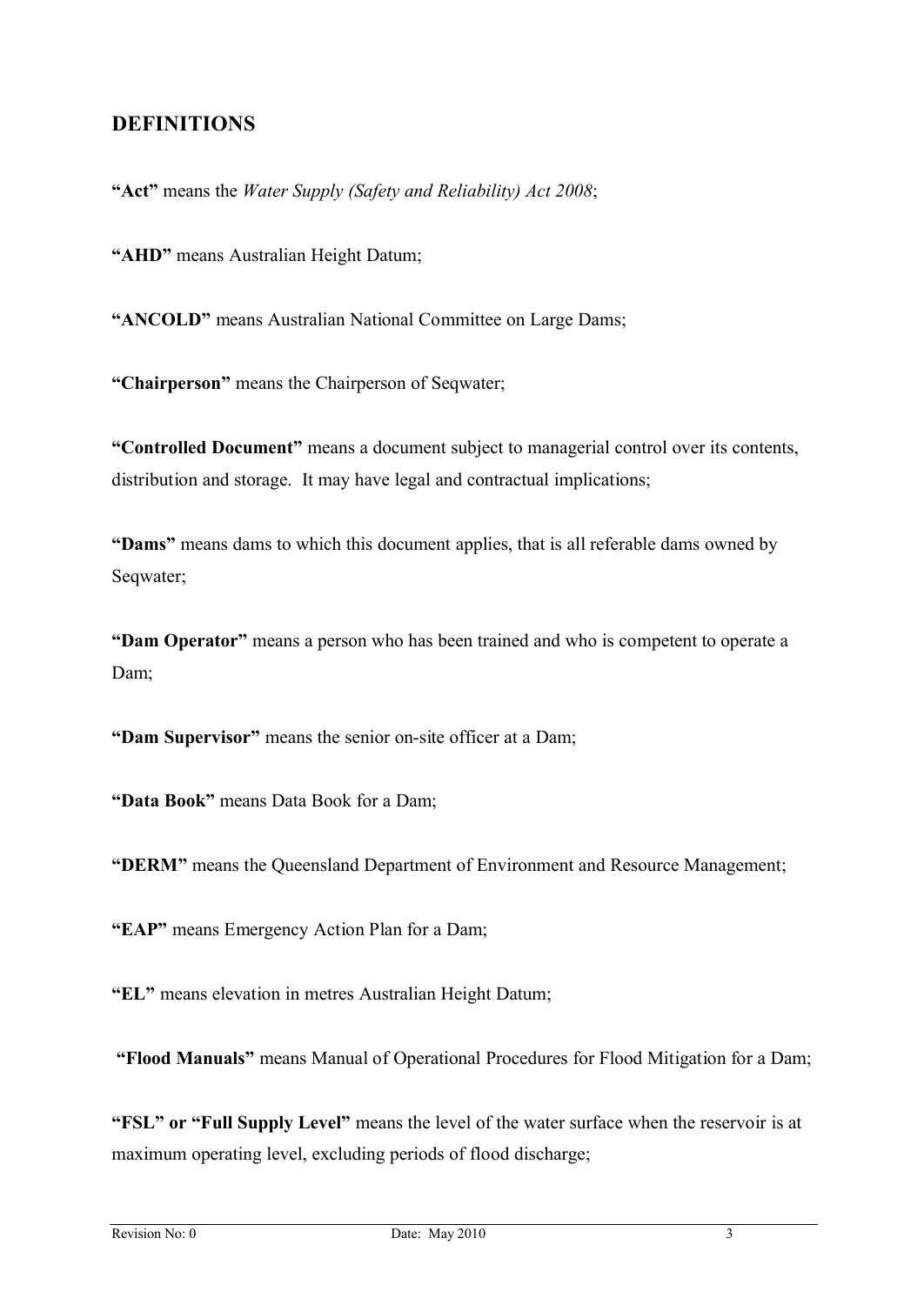#### **DEFINITIONS**

**"Act"** means the *Water Supply (Safety and Reliability) Act 2008*;

**"AHD"** means Australian Height Datum;

**"ANCOLD"** means Australian National Committee on Large Dams;

**"Chairperson"** means the Chairperson of Seqwater;

**"Controlled Document"** means a document subject to managerial control over its contents, distribution and storage. It may have legal and contractual implications;

**"Dams"** means dams to which this document applies, that is all referable dams owned by Seqwater;

**"Dam Operator"** means a person who has been trained and who is competent to operate a Dam;

**"Dam Supervisor"** means the senior on-site officer at a Dam;

**"Data Book"** means Data Book for a Dam;

**"DERM"** means the Queensland Department of Environment and Resource Management;

**"EAP"** means Emergency Action Plan for a Dam;

**"EL"** means elevation in metres Australian Height Datum;

**"Flood Manuals"** means Manual of Operational Procedures for Flood Mitigation for a Dam;

**"FSL" or "Full Supply Level"** means the level of the water surface when the reservoir is at maximum operating level, excluding periods of flood discharge;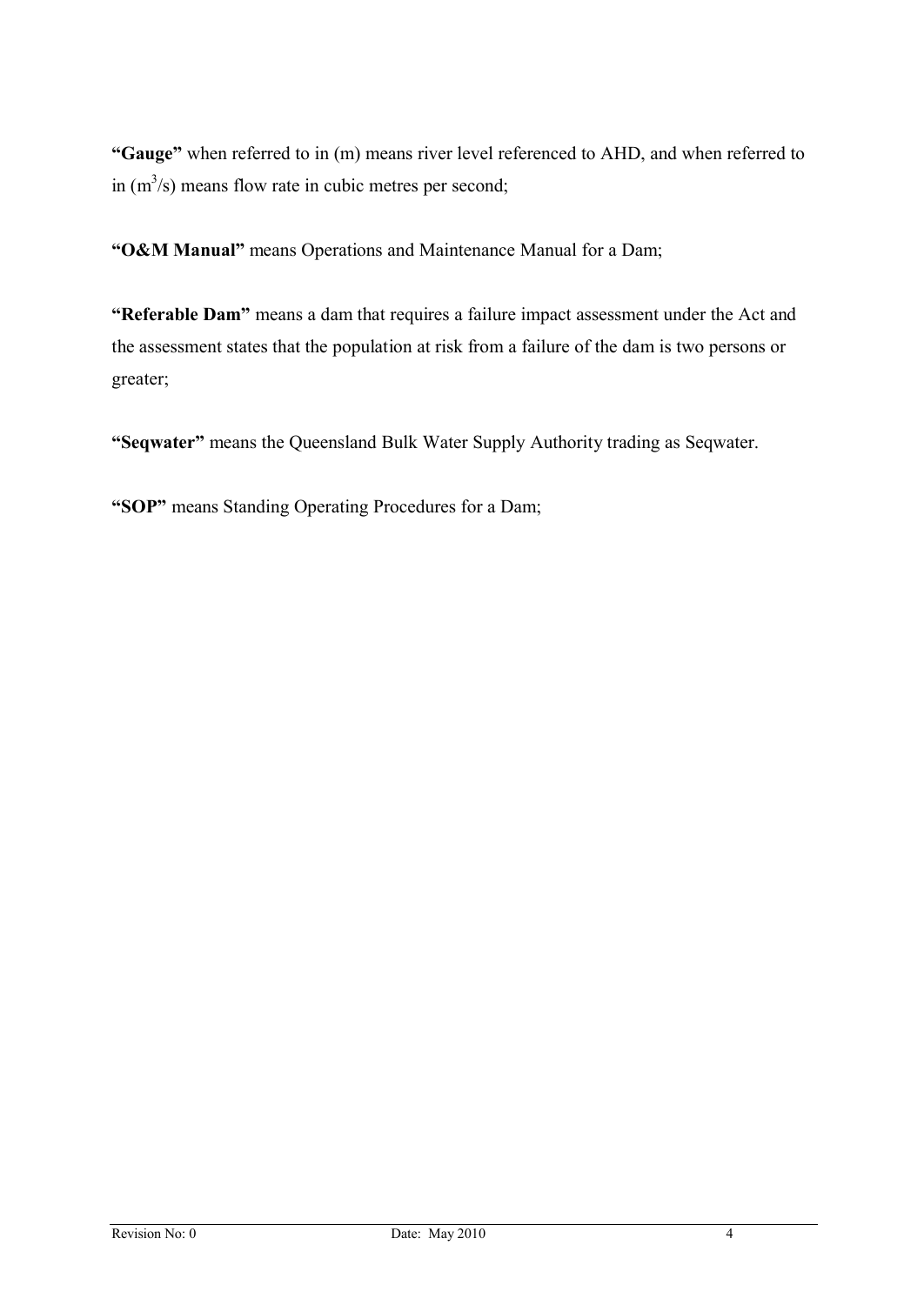**"Gauge"** when referred to in (m) means river level referenced to AHD, and when referred to in  $(m<sup>3</sup>/s)$  means flow rate in cubic metres per second;

**"O&M Manual"** means Operations and Maintenance Manual for a Dam;

**"Referable Dam"** means a dam that requires a failure impact assessment under the Act and the assessment states that the population at risk from a failure of the dam is two persons or greater;

**"Seqwater"** means the Queensland Bulk Water Supply Authority trading as Seqwater.

**"SOP"** means Standing Operating Procedures for a Dam;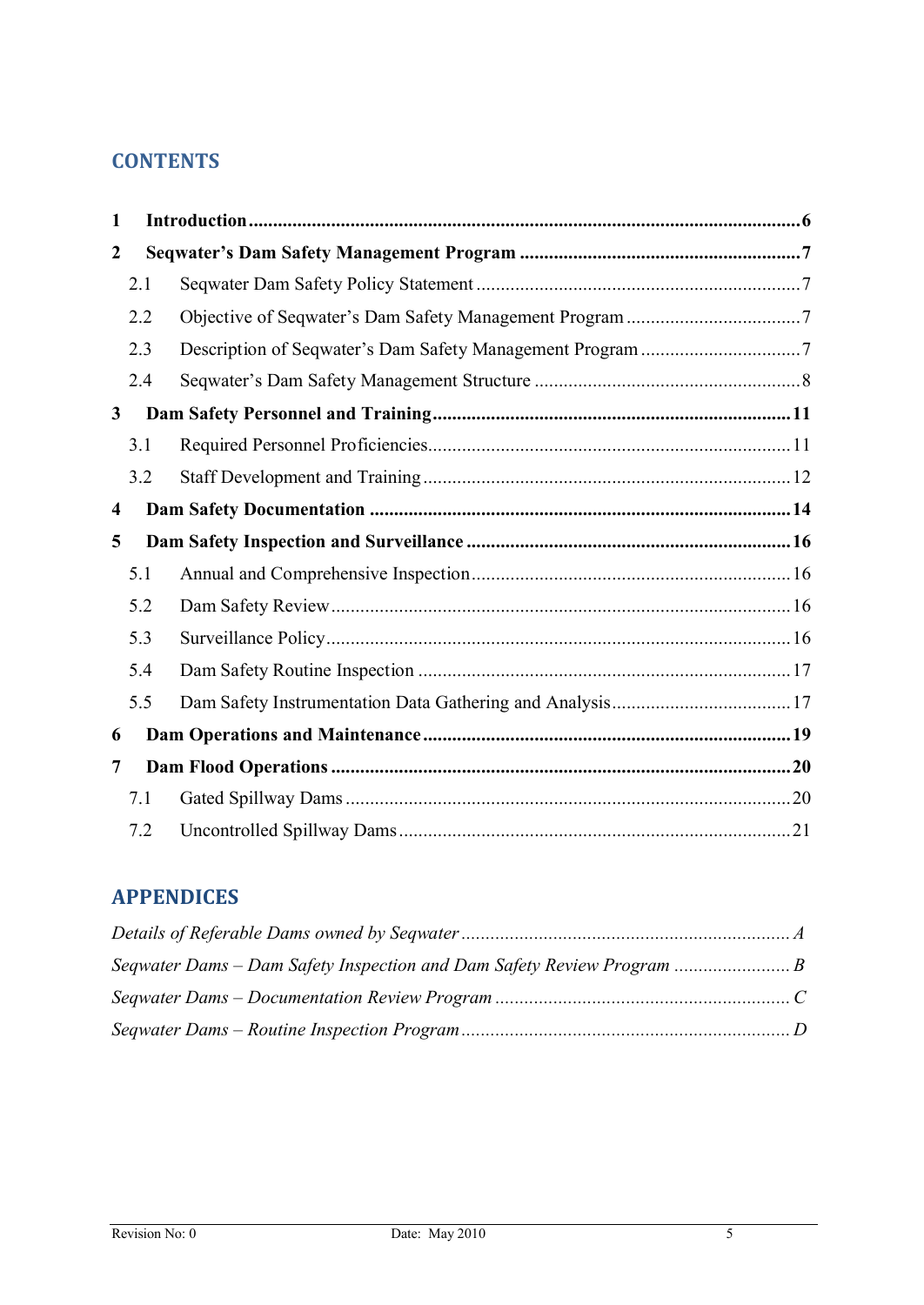## **CONTENTS**

| $\mathbf{1}$   |     |  |
|----------------|-----|--|
| $\overline{2}$ |     |  |
|                | 2.1 |  |
|                | 2.2 |  |
|                | 2.3 |  |
|                | 2.4 |  |
| $\mathbf{3}$   |     |  |
|                | 3.1 |  |
|                | 3.2 |  |
| 4              |     |  |
| 5              |     |  |
|                | 5.1 |  |
|                | 5.2 |  |
|                | 5.3 |  |
|                | 5.4 |  |
|                | 5.5 |  |
| 6              |     |  |
| 7              |     |  |
|                | 7.1 |  |
|                | 7.2 |  |

## **APPENDICES**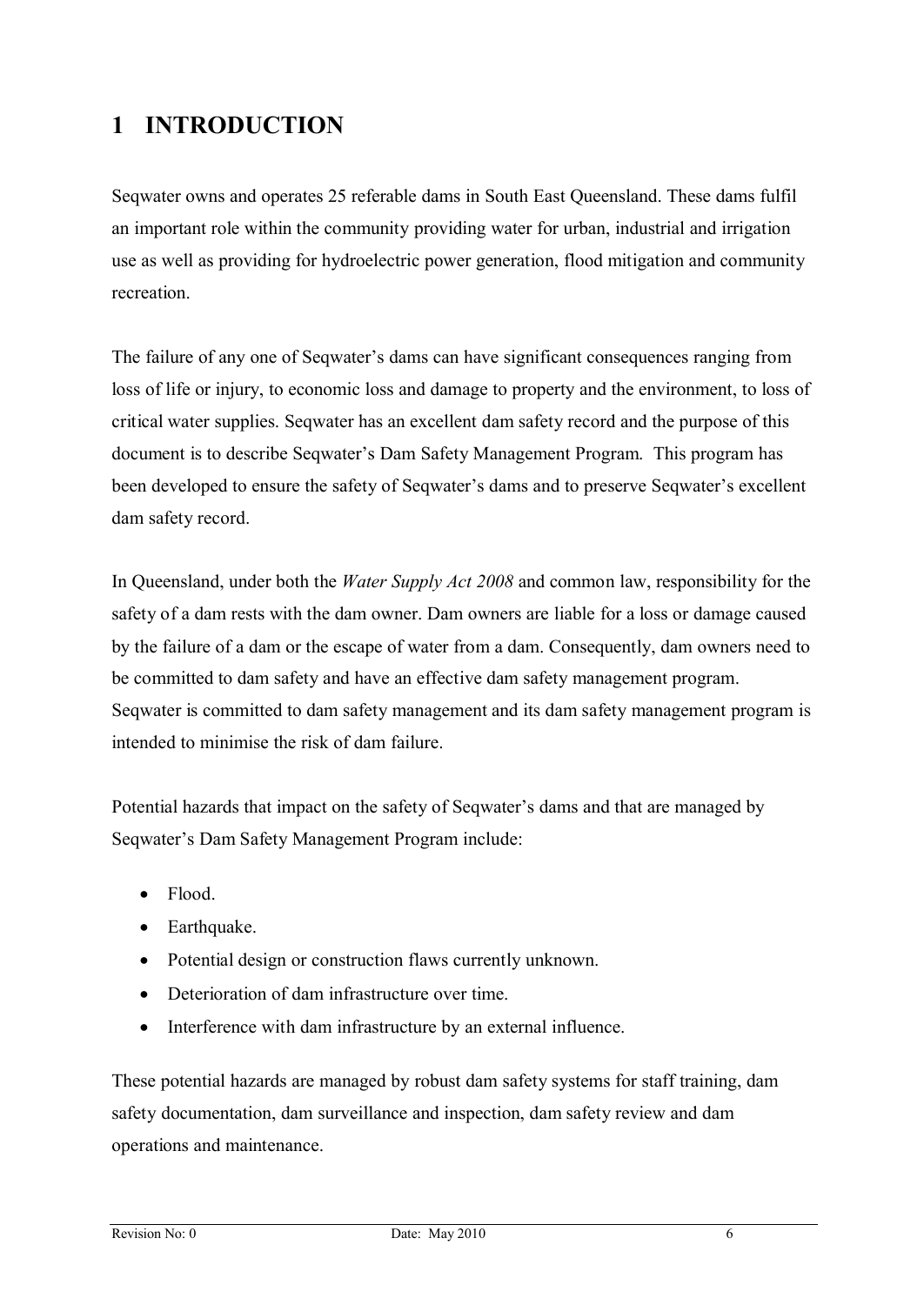# **1 INTRODUCTION**

Seqwater owns and operates 25 referable dams in South East Queensland. These dams fulfil an important role within the community providing water for urban, industrial and irrigation use as well as providing for hydroelectric power generation, flood mitigation and community recreation.

The failure of any one of Seqwater's dams can have significant consequences ranging from loss of life or injury, to economic loss and damage to property and the environment, to loss of critical water supplies. Seqwater has an excellent dam safety record and the purpose of this document is to describe Seqwater's Dam Safety Management Program. This program has been developed to ensure the safety of Seqwater's dams and to preserve Seqwater's excellent dam safety record.

In Queensland, under both the *Water Supply Act 2008* and common law, responsibility for the safety of a dam rests with the dam owner. Dam owners are liable for a loss or damage caused by the failure of a dam or the escape of water from a dam. Consequently, dam owners need to be committed to dam safety and have an effective dam safety management program. Seqwater is committed to dam safety management and its dam safety management program is intended to minimise the risk of dam failure.

Potential hazards that impact on the safety of Seqwater's dams and that are managed by Seqwater's Dam Safety Management Program include:

- Flood.
- Earthquake.
- · Potential design or construction flaws currently unknown.
- · Deterioration of dam infrastructure over time.
- Interference with dam infrastructure by an external influence.

These potential hazards are managed by robust dam safety systems for staff training, dam safety documentation, dam surveillance and inspection, dam safety review and dam operations and maintenance.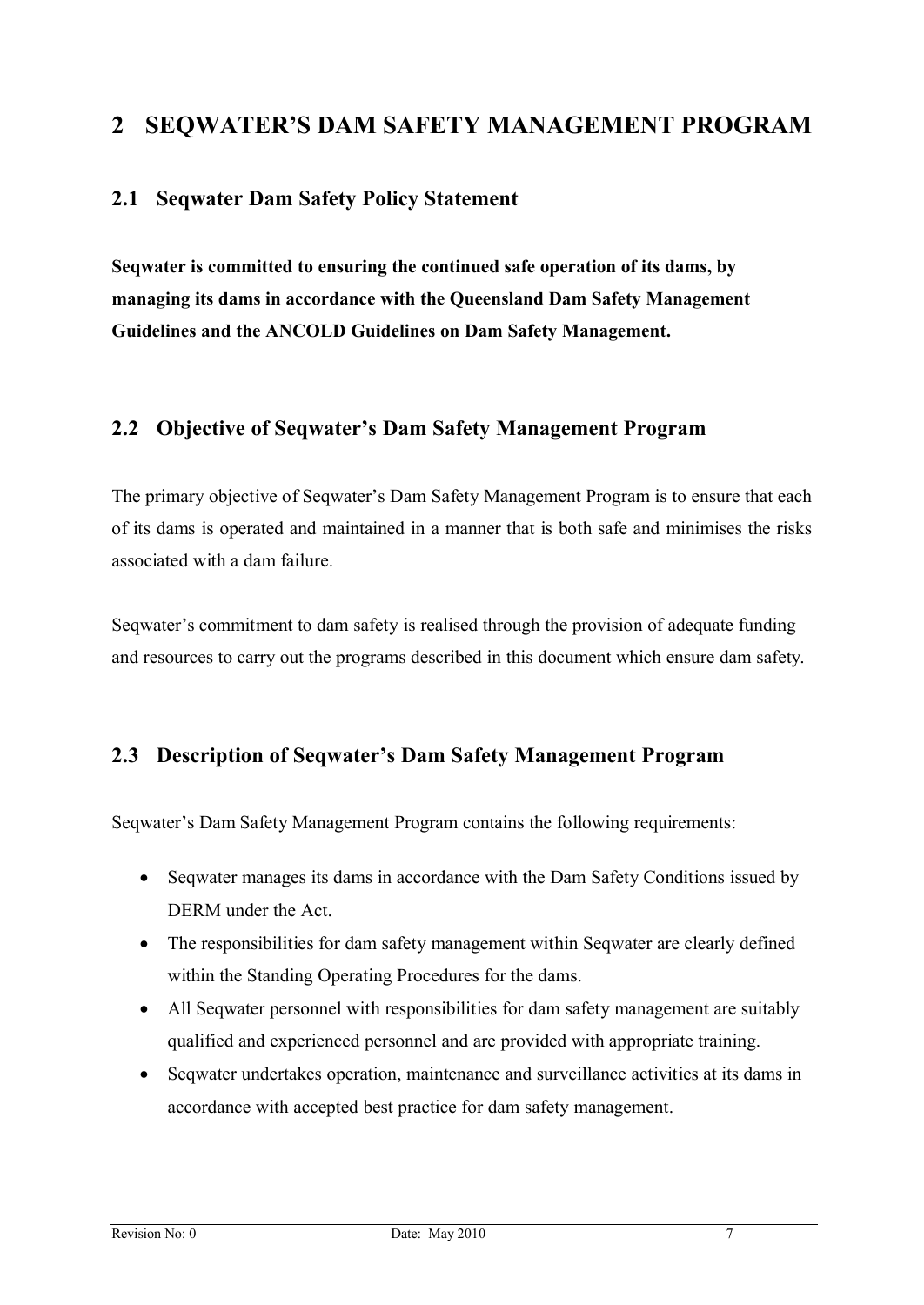### **2 SEQWATER'S DAM SAFETY MANAGEMENT PROGRAM**

#### **2.1 Seqwater Dam Safety Policy Statement**

**Seqwater is committed to ensuring the continued safe operation of its dams, by managing its dams in accordance with the Queensland Dam Safety Management Guidelines and the ANCOLD Guidelines on Dam Safety Management.**

#### **2.2 Objective of Seqwater's Dam Safety Management Program**

The primary objective of Seqwater's Dam Safety Management Program is to ensure that each of its dams is operated and maintained in a manner that is both safe and minimises the risks associated with a dam failure.

Seqwater's commitment to dam safety is realised through the provision of adequate funding and resources to carry out the programs described in this document which ensure dam safety.

#### **2.3 Description of Seqwater's Dam Safety Management Program**

Seqwater's Dam Safety Management Program contains the following requirements:

- Seqwater manages its dams in accordance with the Dam Safety Conditions issued by DERM under the Act.
- The responsibilities for dam safety management within Seqwater are clearly defined within the Standing Operating Procedures for the dams.
- All Seqwater personnel with responsibilities for dam safety management are suitably qualified and experienced personnel and are provided with appropriate training.
- Seqwater undertakes operation, maintenance and surveillance activities at its dams in accordance with accepted best practice for dam safety management.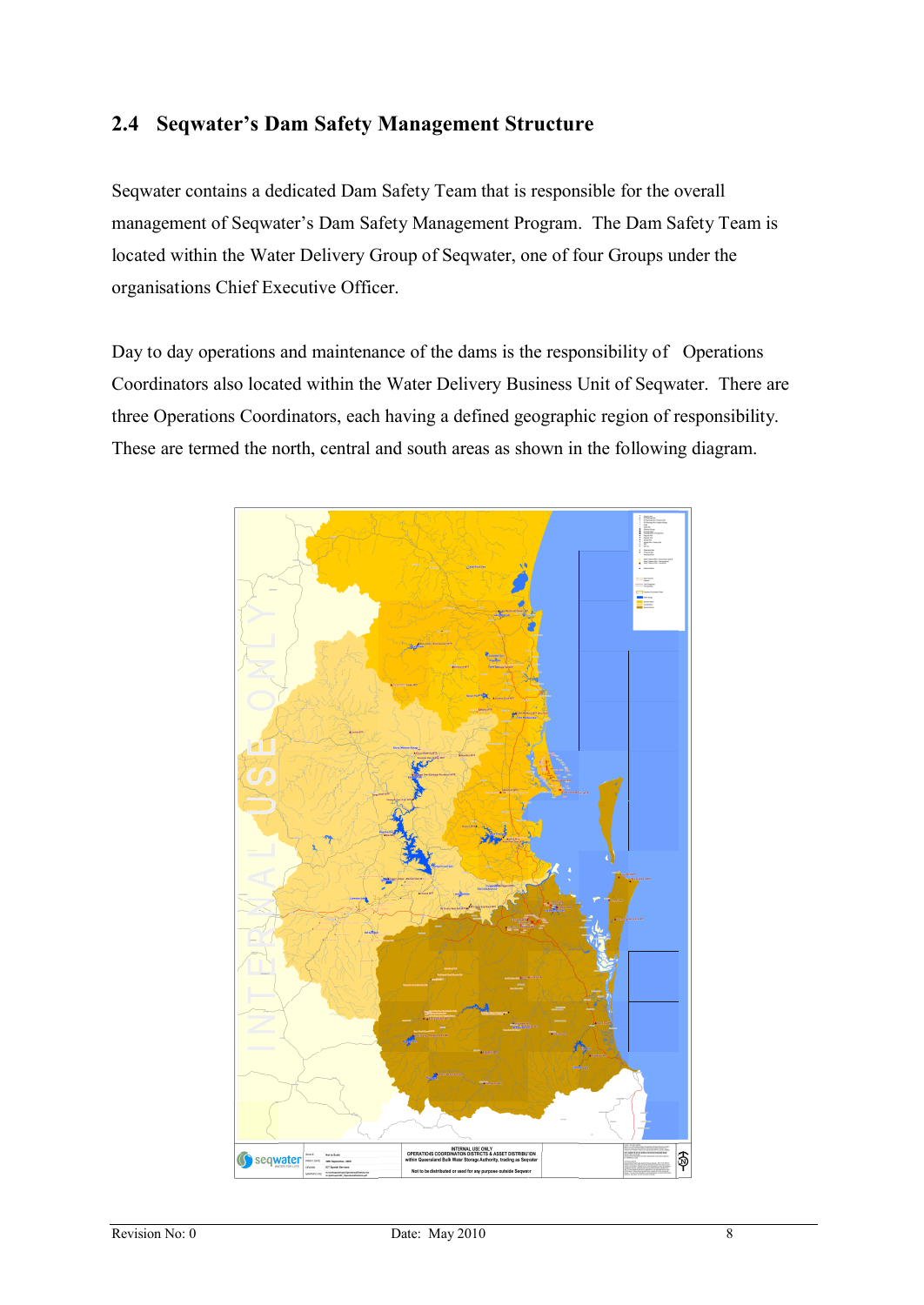#### **2.4 Seqwater's Dam Safety Management Structure**

Seqwater contains a dedicated Dam Safety Team that is responsible for the overall management of Seqwater's Dam Safety Management Program. The Dam Safety Team is located within the Water Delivery Group of Seqwater, one of four Groups under the organisations Chief Executive Officer.

Day to day operations and maintenance of the dams is the responsibility of Operations Coordinators also located within the Water Delivery Business Unit of Seqwater. There are three Operations Coordinators, each having a defined geographic region of responsibility. These are termed the north, central and south areas as shown in the following diagram.

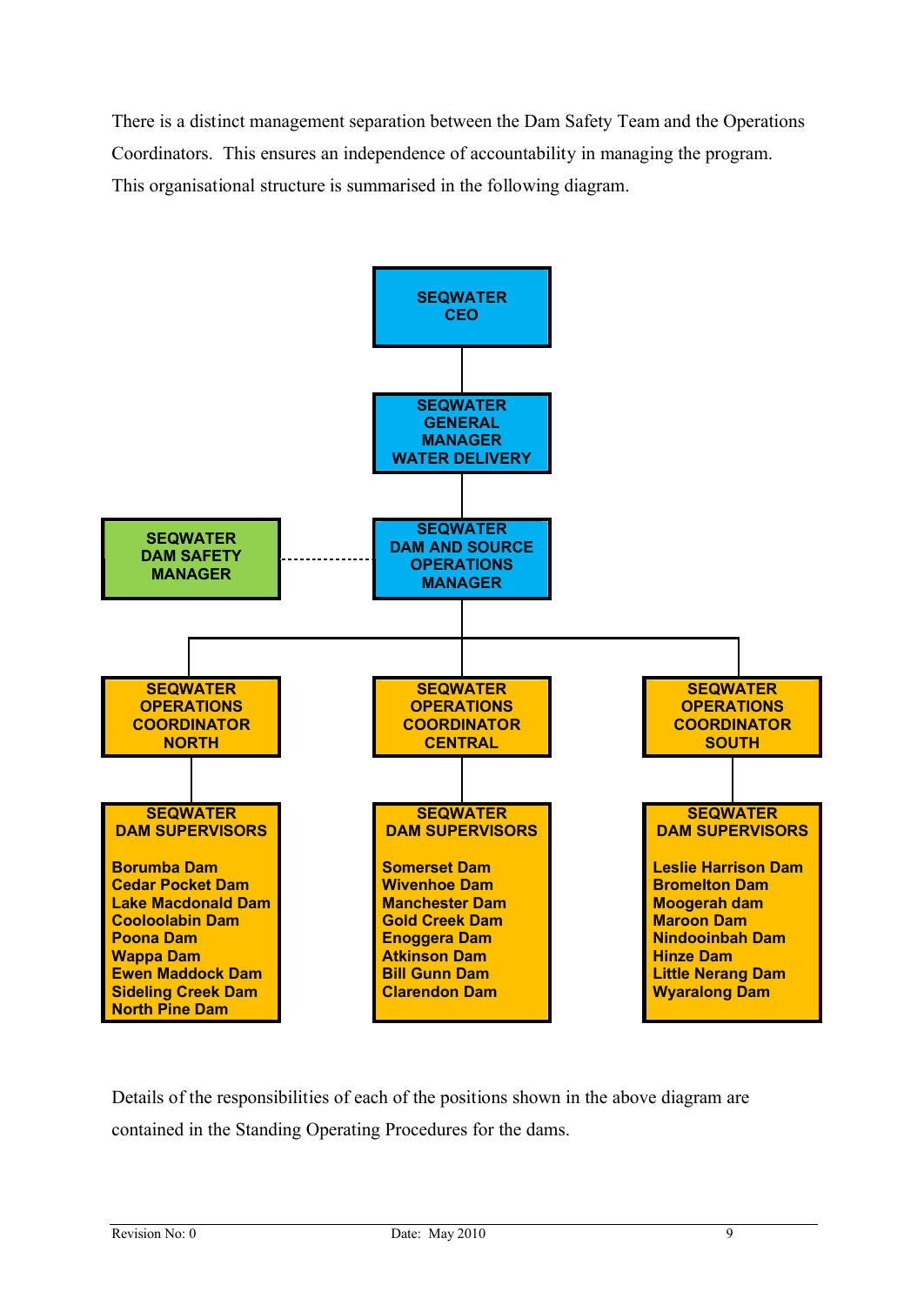There is a distinct management separation between the Dam Safety Team and the Operations Coordinators. This ensures an independence of accountability in managing the program. This organisational structure is summarised in the following diagram.



Details of the responsibilities of each of the positions shown in the above diagram are contained in the Standing Operating Procedures for the dams.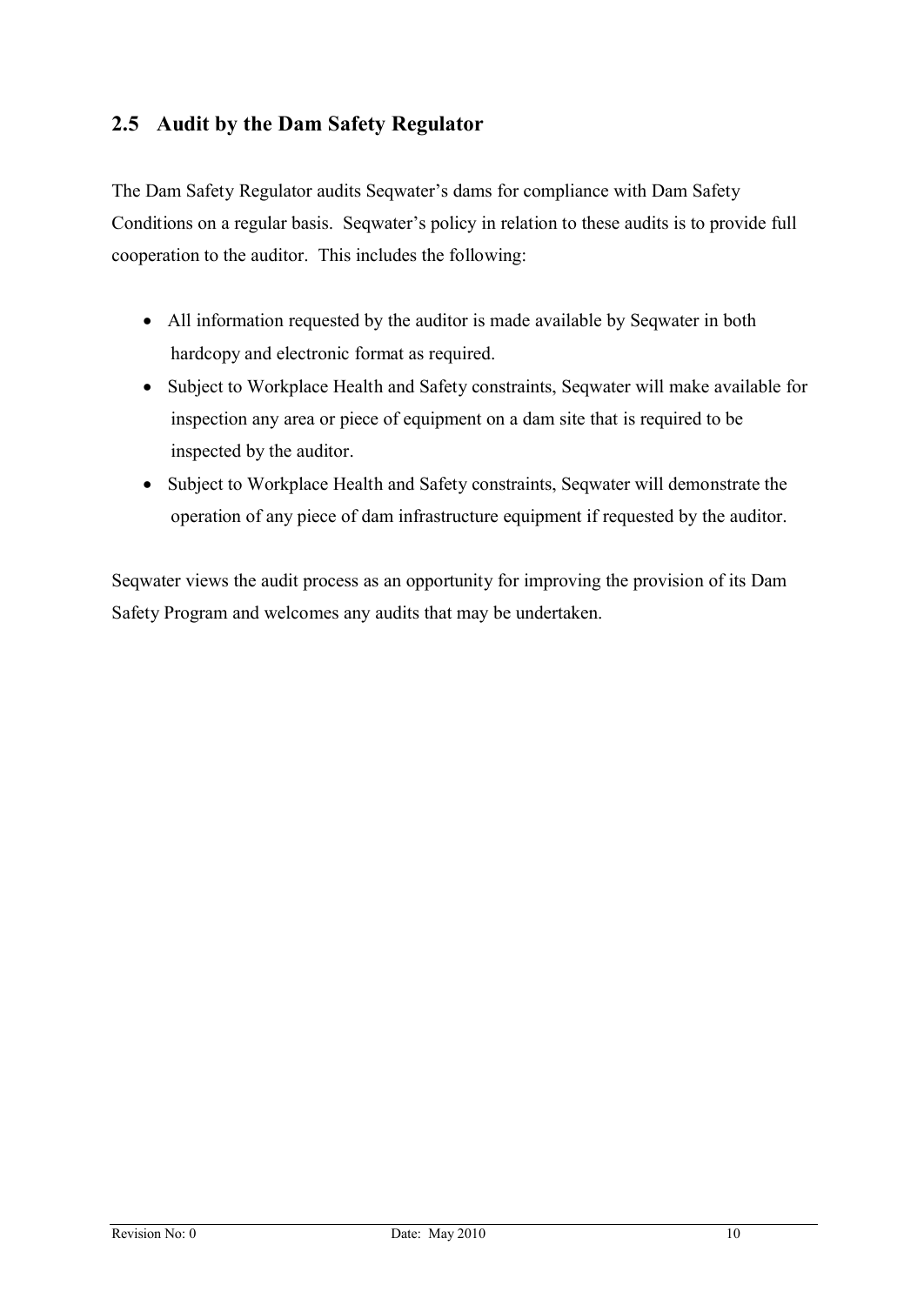#### **2.5 Audit by the Dam Safety Regulator**

The Dam Safety Regulator audits Seqwater's dams for compliance with Dam Safety Conditions on a regular basis. Seqwater's policy in relation to these audits is to provide full cooperation to the auditor. This includes the following:

- All information requested by the auditor is made available by Seqwater in both hardcopy and electronic format as required.
- · Subject to Workplace Health and Safety constraints, Seqwater will make available for inspection any area or piece of equipment on a dam site that is required to be inspected by the auditor.
- · Subject to Workplace Health and Safety constraints, Seqwater will demonstrate the operation of any piece of dam infrastructure equipment if requested by the auditor.

Seqwater views the audit process as an opportunity for improving the provision of its Dam Safety Program and welcomes any audits that may be undertaken.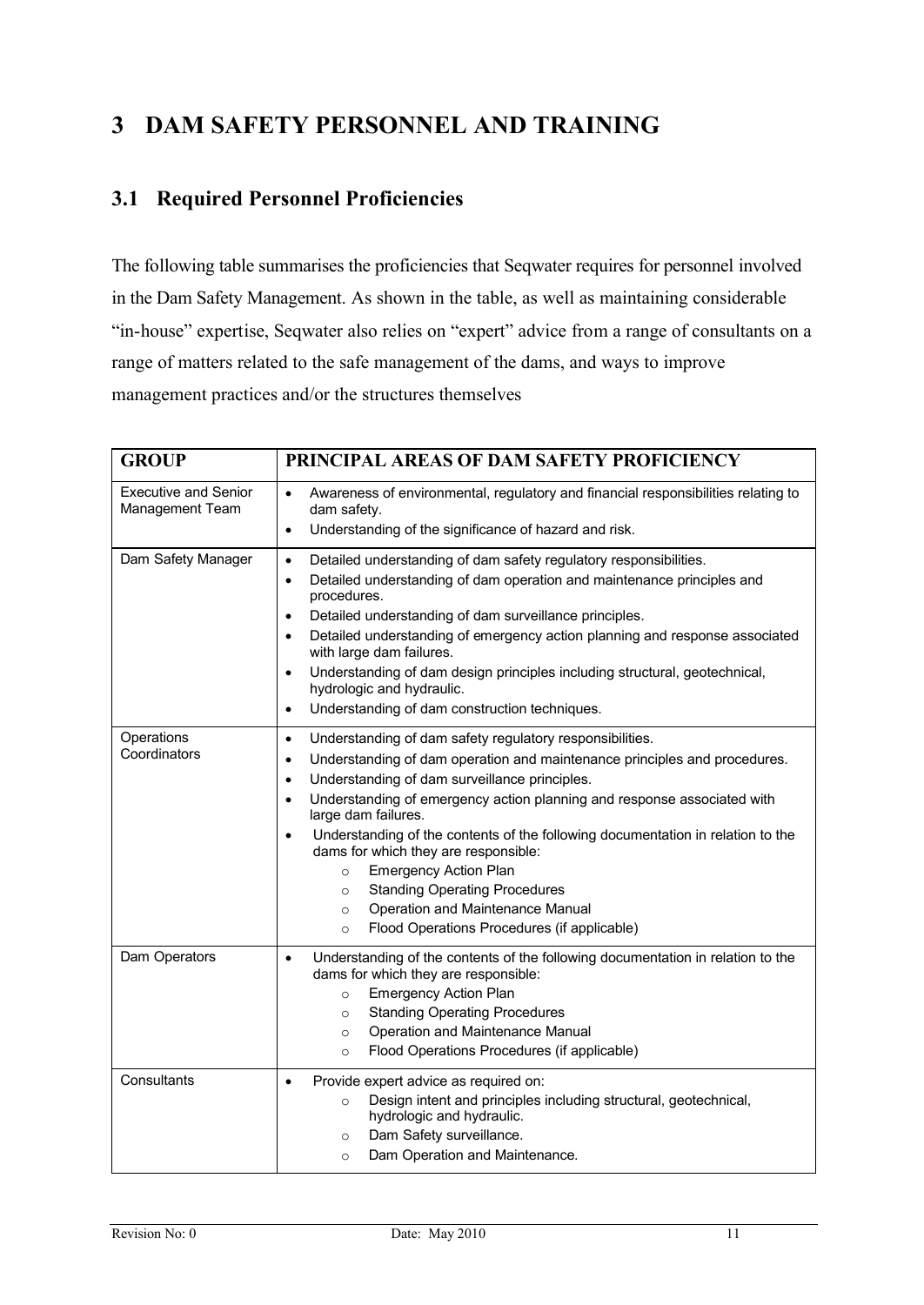# **3 DAM SAFETY PERSONNEL AND TRAINING**

#### **3.1 Required Personnel Proficiencies**

The following table summarises the proficiencies that Seqwater requires for personnel involved in the Dam Safety Management. As shown in the table, as well as maintaining considerable "in-house" expertise, Seqwater also relies on "expert" advice from a range of consultants on a range of matters related to the safe management of the dams, and ways to improve management practices and/or the structures themselves

| <b>GROUP</b>                                   | PRINCIPAL AREAS OF DAM SAFETY PROFICIENCY                                                                                                                                                                                                                                                                                                                                                                                                                                                                                                                                                                                                                                           |  |
|------------------------------------------------|-------------------------------------------------------------------------------------------------------------------------------------------------------------------------------------------------------------------------------------------------------------------------------------------------------------------------------------------------------------------------------------------------------------------------------------------------------------------------------------------------------------------------------------------------------------------------------------------------------------------------------------------------------------------------------------|--|
| <b>Executive and Senior</b><br>Management Team | Awareness of environmental, regulatory and financial responsibilities relating to<br>$\bullet$<br>dam safety.<br>Understanding of the significance of hazard and risk.<br>$\bullet$                                                                                                                                                                                                                                                                                                                                                                                                                                                                                                 |  |
| Dam Safety Manager                             | Detailed understanding of dam safety regulatory responsibilities.<br>$\bullet$<br>Detailed understanding of dam operation and maintenance principles and<br>$\bullet$<br>procedures.<br>Detailed understanding of dam surveillance principles.<br>$\bullet$<br>Detailed understanding of emergency action planning and response associated<br>$\bullet$<br>with large dam failures.<br>Understanding of dam design principles including structural, geotechnical,<br>$\bullet$<br>hydrologic and hydraulic.<br>Understanding of dam construction techniques.<br>$\bullet$                                                                                                           |  |
| Operations<br>Coordinators                     | Understanding of dam safety regulatory responsibilities.<br>٠<br>Understanding of dam operation and maintenance principles and procedures.<br>$\bullet$<br>Understanding of dam surveillance principles.<br>$\bullet$<br>Understanding of emergency action planning and response associated with<br>$\bullet$<br>large dam failures.<br>Understanding of the contents of the following documentation in relation to the<br>$\bullet$<br>dams for which they are responsible:<br><b>Emergency Action Plan</b><br>$\circ$<br><b>Standing Operating Procedures</b><br>$\circ$<br>Operation and Maintenance Manual<br>$\circ$<br>Flood Operations Procedures (if applicable)<br>$\circ$ |  |
| Dam Operators                                  | Understanding of the contents of the following documentation in relation to the<br>$\bullet$<br>dams for which they are responsible:<br><b>Emergency Action Plan</b><br>$\circ$<br><b>Standing Operating Procedures</b><br>$\circ$<br>Operation and Maintenance Manual<br>$\circ$<br>Flood Operations Procedures (if applicable)<br>$\circ$                                                                                                                                                                                                                                                                                                                                         |  |
| Consultants                                    | Provide expert advice as required on:<br>$\bullet$<br>Design intent and principles including structural, geotechnical,<br>$\circ$<br>hydrologic and hydraulic.<br>Dam Safety surveillance.<br>$\circ$<br>Dam Operation and Maintenance.<br>$\circ$                                                                                                                                                                                                                                                                                                                                                                                                                                  |  |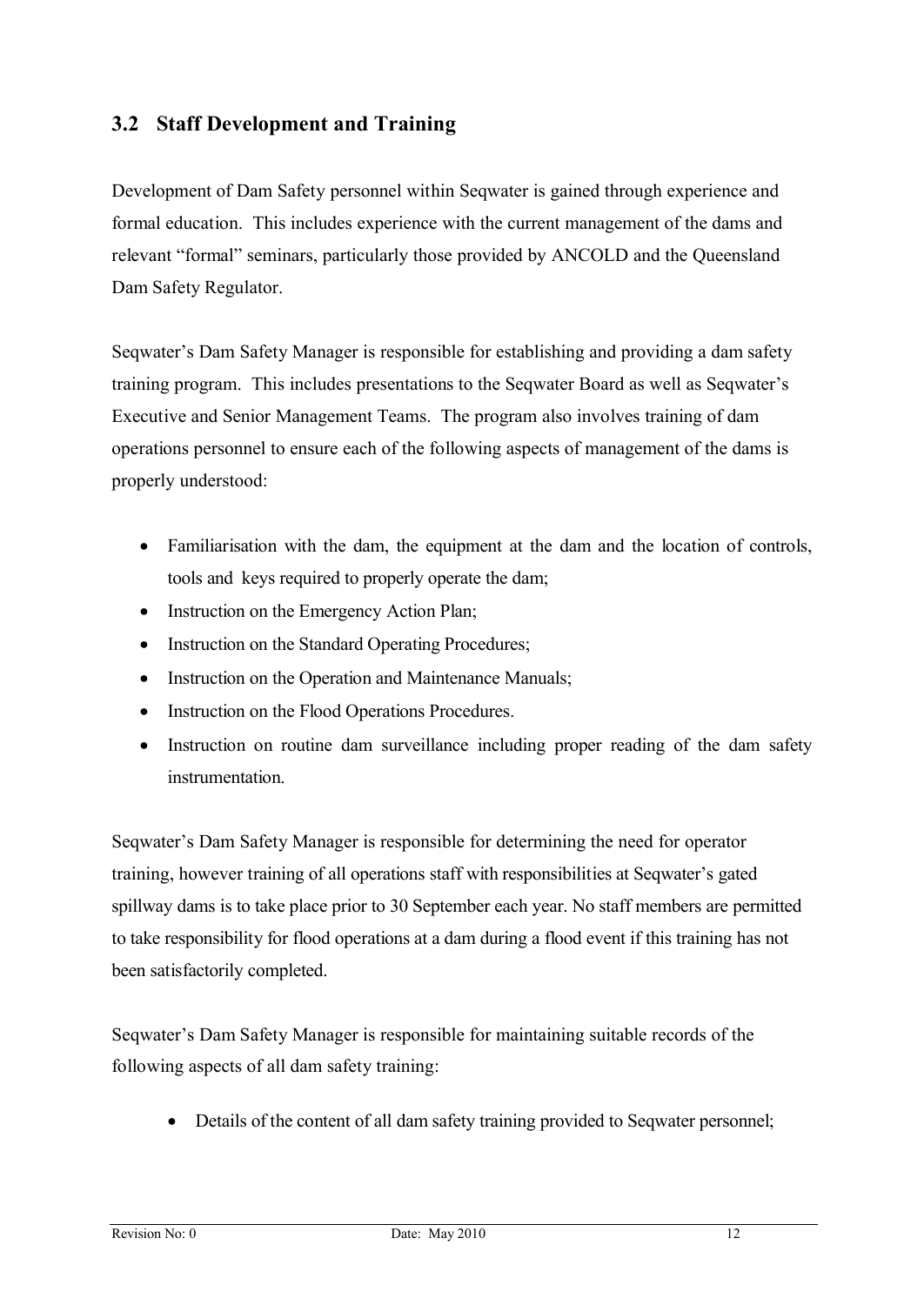#### **3.2 Staff Development and Training**

Development of Dam Safety personnel within Seqwater is gained through experience and formal education. This includes experience with the current management of the dams and relevant "formal" seminars, particularly those provided by ANCOLD and the Queensland Dam Safety Regulator.

Seqwater's Dam Safety Manager is responsible for establishing and providing a dam safety training program. This includes presentations to the Seqwater Board as well as Seqwater's Executive and Senior Management Teams. The program also involves training of dam operations personnel to ensure each of the following aspects of management of the dams is properly understood:

- Familiarisation with the dam, the equipment at the dam and the location of controls, tools and keys required to properly operate the dam;
- Instruction on the Emergency Action Plan;
- Instruction on the Standard Operating Procedures;
- Instruction on the Operation and Maintenance Manuals;
- Instruction on the Flood Operations Procedures.
- Instruction on routine dam surveillance including proper reading of the dam safety instrumentation.

Seqwater's Dam Safety Manager is responsible for determining the need for operator training, however training of all operations staff with responsibilities at Seqwater's gated spillway dams is to take place prior to 30 September each year. No staff members are permitted to take responsibility for flood operations at a dam during a flood event if this training has not been satisfactorily completed.

Seqwater's Dam Safety Manager is responsible for maintaining suitable records of the following aspects of all dam safety training:

• Details of the content of all dam safety training provided to Seqwater personnel;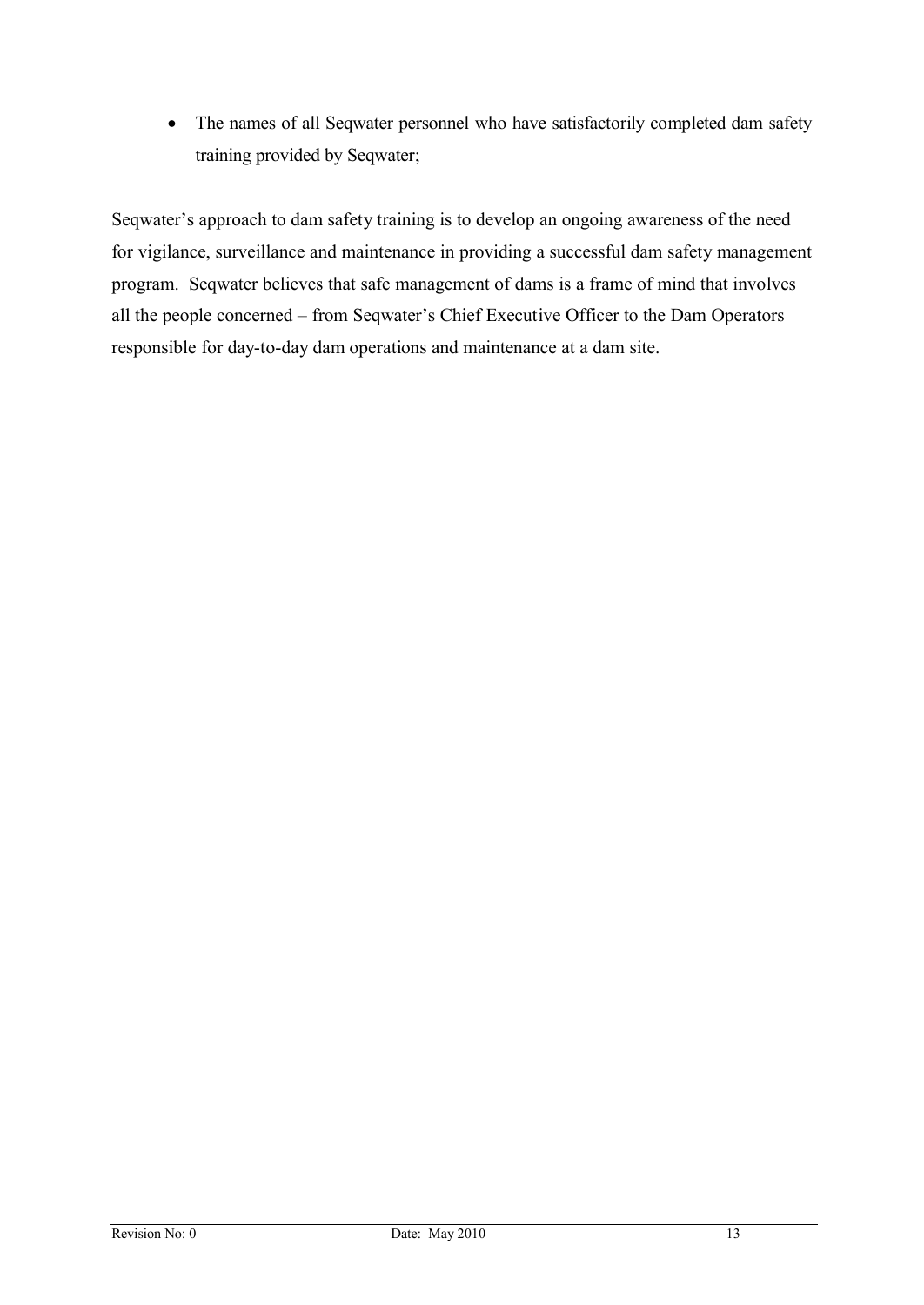• The names of all Seqwater personnel who have satisfactorily completed dam safety training provided by Seqwater;

Seqwater's approach to dam safety training is to develop an ongoing awareness of the need for vigilance, surveillance and maintenance in providing a successful dam safety management program. Seqwater believes that safe management of dams is a frame of mind that involves all the people concerned – from Seqwater's Chief Executive Officer to the Dam Operators responsible for day-to-day dam operations and maintenance at a dam site.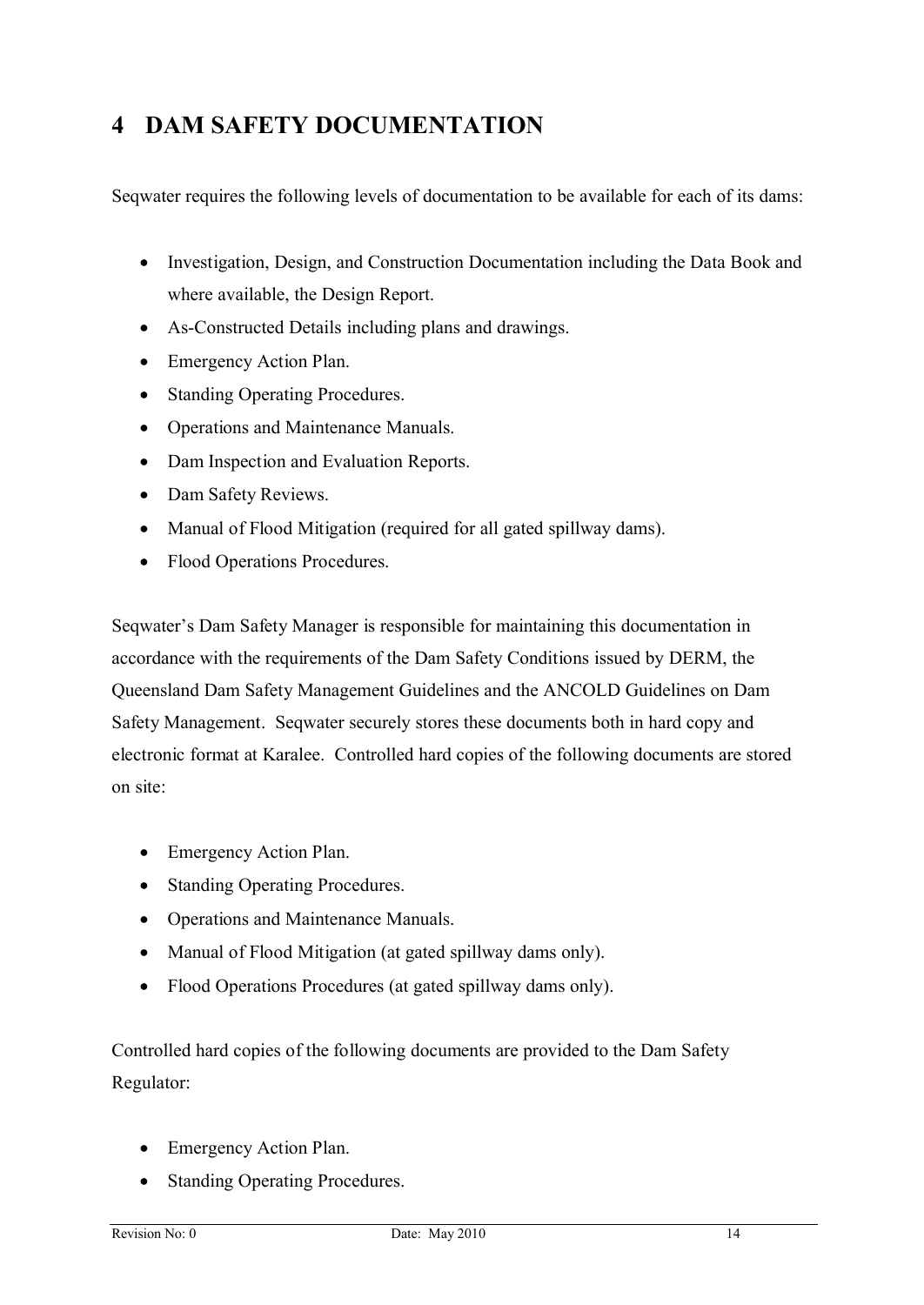# **4 DAM SAFETY DOCUMENTATION**

Seqwater requires the following levels of documentation to be available for each of its dams:

- · Investigation, Design, and Construction Documentation including the Data Book and where available, the Design Report.
- As-Constructed Details including plans and drawings.
- Emergency Action Plan.
- Standing Operating Procedures.
- · Operations and Maintenance Manuals.
- · Dam Inspection and Evaluation Reports.
- Dam Safety Reviews.
- Manual of Flood Mitigation (required for all gated spillway dams).
- Flood Operations Procedures.

Seqwater's Dam Safety Manager is responsible for maintaining this documentation in accordance with the requirements of the Dam Safety Conditions issued by DERM, the Queensland Dam Safety Management Guidelines and the ANCOLD Guidelines on Dam Safety Management. Seqwater securely stores these documents both in hard copy and electronic format at Karalee. Controlled hard copies of the following documents are stored on site:

- Emergency Action Plan.
- · Standing Operating Procedures.
- · Operations and Maintenance Manuals.
- Manual of Flood Mitigation (at gated spillway dams only).
- · Flood Operations Procedures (at gated spillway dams only).

Controlled hard copies of the following documents are provided to the Dam Safety Regulator:

- Emergency Action Plan.
- Standing Operating Procedures.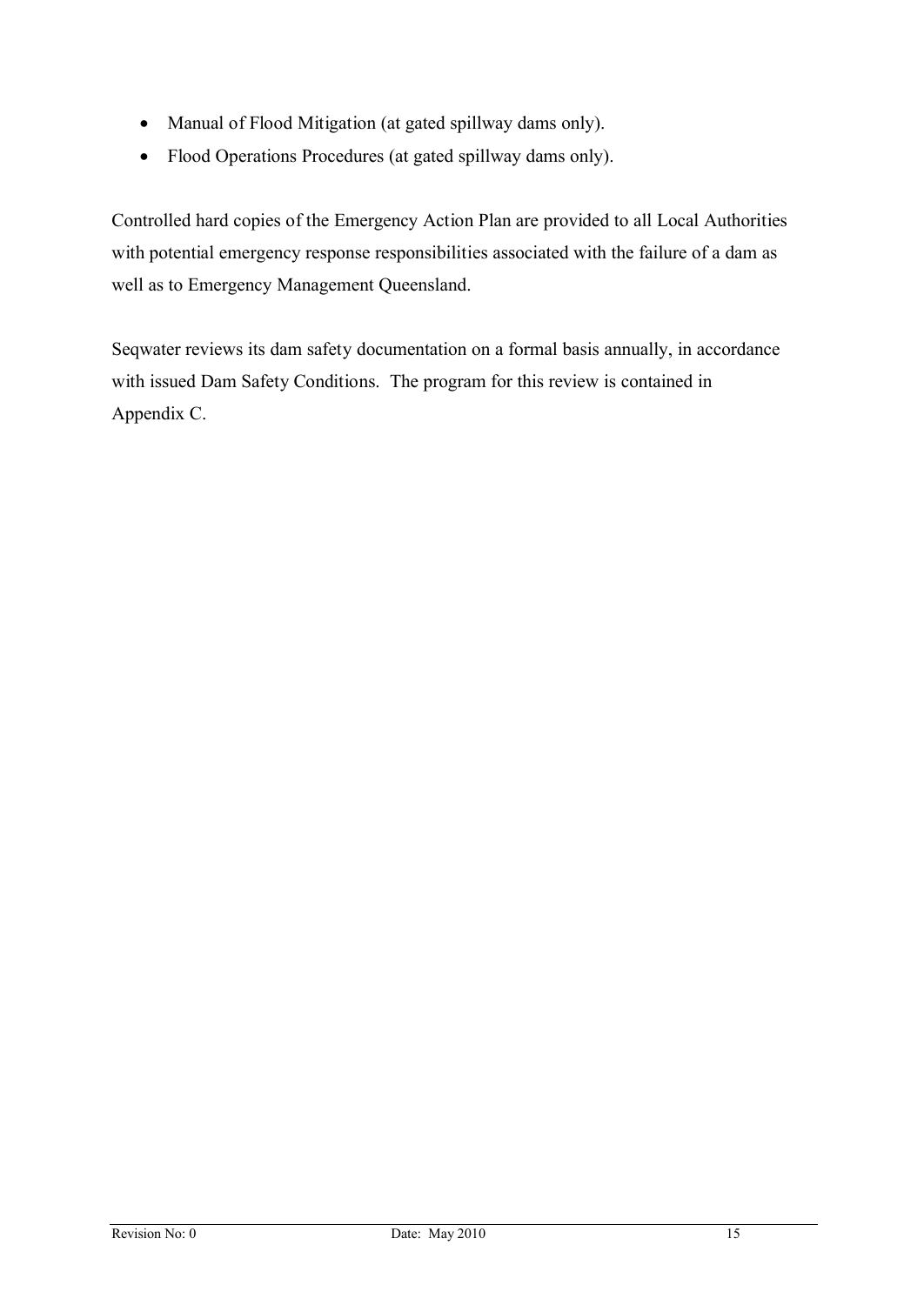- · Manual of Flood Mitigation (at gated spillway dams only).
- · Flood Operations Procedures (at gated spillway dams only).

Controlled hard copies of the Emergency Action Plan are provided to all Local Authorities with potential emergency response responsibilities associated with the failure of a dam as well as to Emergency Management Queensland.

Seqwater reviews its dam safety documentation on a formal basis annually, in accordance with issued Dam Safety Conditions. The program for this review is contained in Appendix C.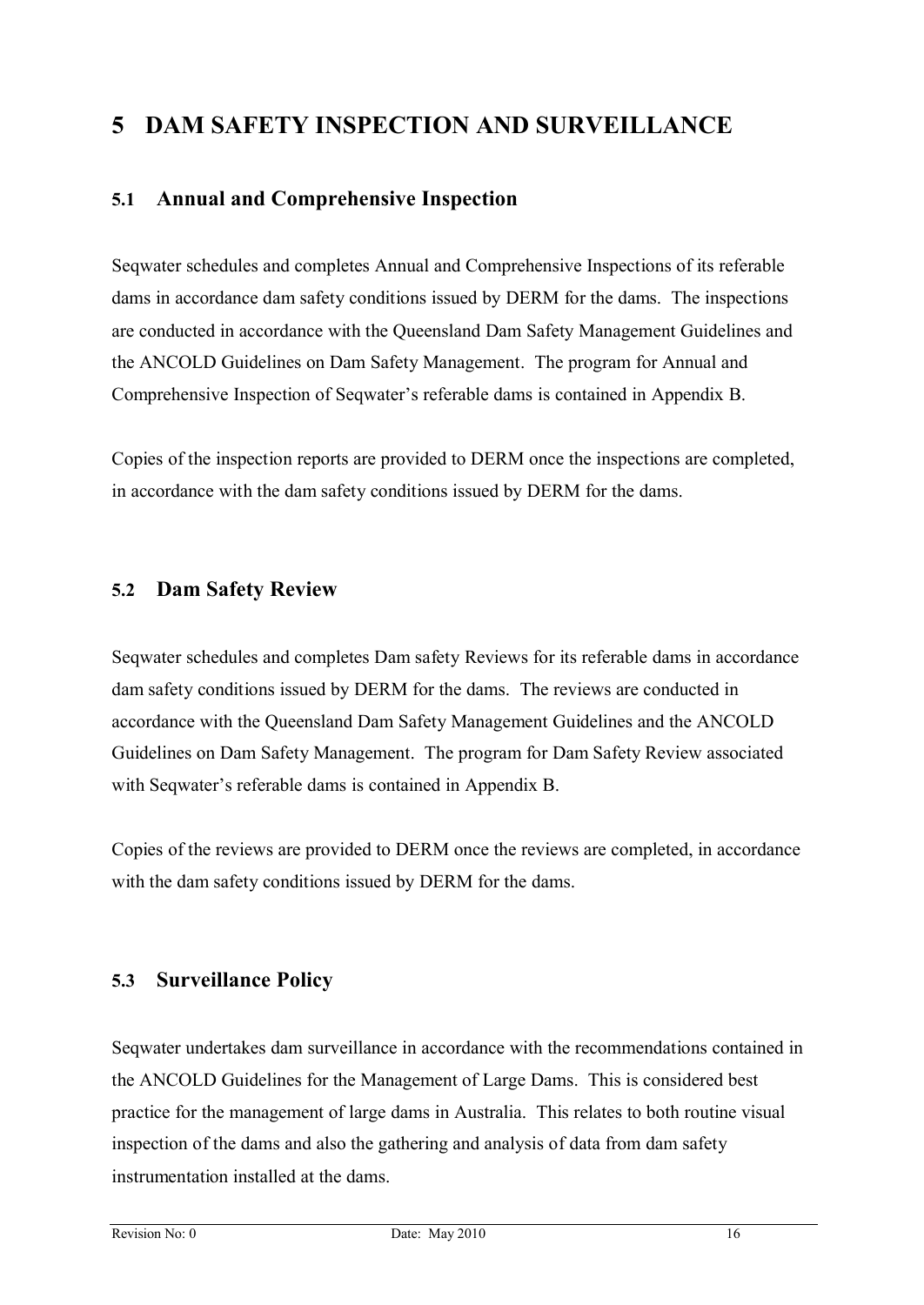# **5 DAM SAFETY INSPECTION AND SURVEILLANCE**

#### **5.1 Annual and Comprehensive Inspection**

Seqwater schedules and completes Annual and Comprehensive Inspections of its referable dams in accordance dam safety conditions issued by DERM for the dams. The inspections are conducted in accordance with the Queensland Dam Safety Management Guidelines and the ANCOLD Guidelines on Dam Safety Management. The program for Annual and Comprehensive Inspection of Seqwater's referable dams is contained in Appendix B.

Copies of the inspection reports are provided to DERM once the inspections are completed, in accordance with the dam safety conditions issued by DERM for the dams.

#### **5.2 Dam Safety Review**

Seqwater schedules and completes Dam safety Reviews for its referable dams in accordance dam safety conditions issued by DERM for the dams. The reviews are conducted in accordance with the Queensland Dam Safety Management Guidelines and the ANCOLD Guidelines on Dam Safety Management. The program for Dam Safety Review associated with Seqwater's referable dams is contained in Appendix B.

Copies of the reviews are provided to DERM once the reviews are completed, in accordance with the dam safety conditions issued by DERM for the dams.

#### **5.3 Surveillance Policy**

Seqwater undertakes dam surveillance in accordance with the recommendations contained in the ANCOLD Guidelines for the Management of Large Dams. This is considered best practice for the management of large dams in Australia. This relates to both routine visual inspection of the dams and also the gathering and analysis of data from dam safety instrumentation installed at the dams.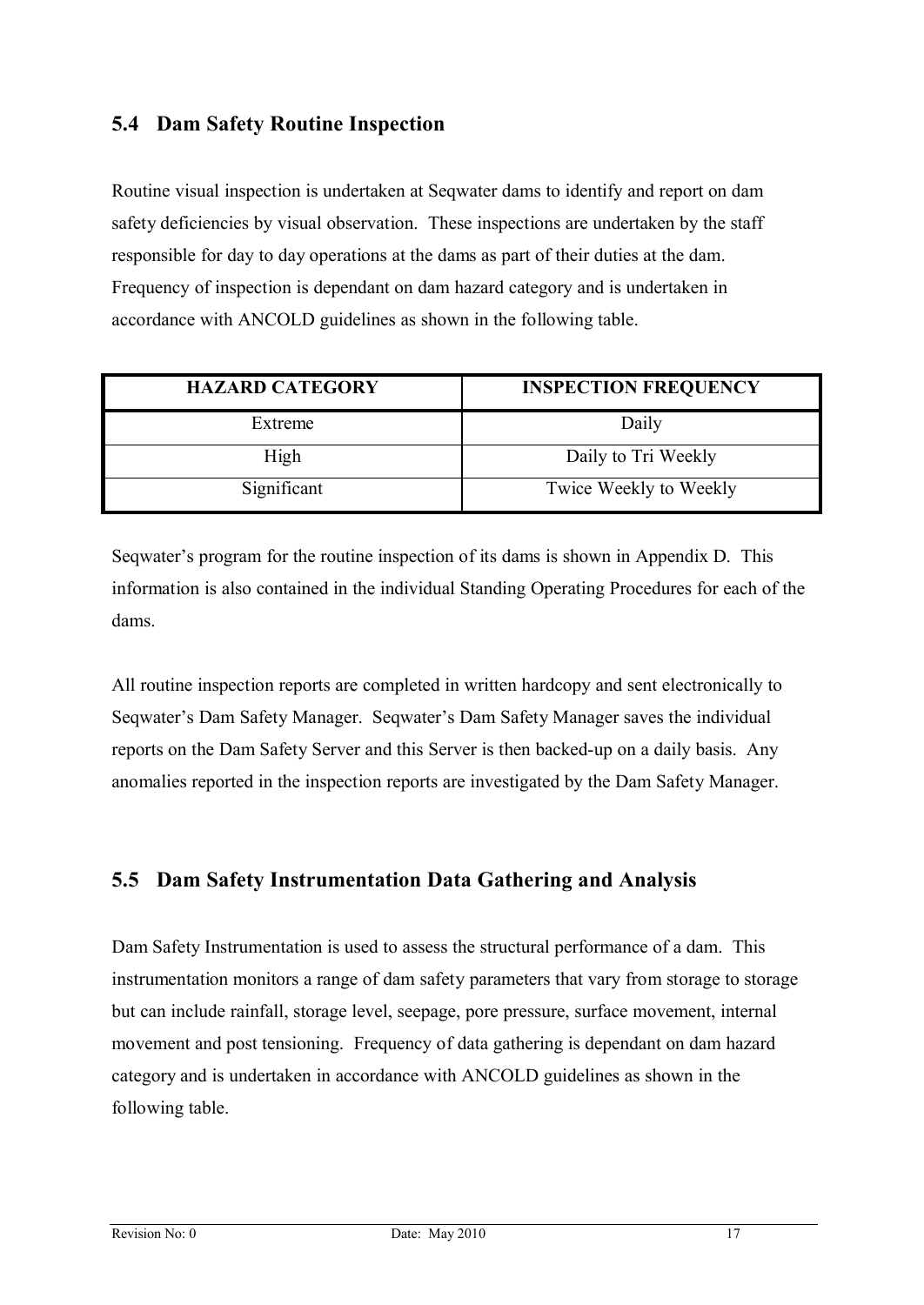#### **5.4 Dam Safety Routine Inspection**

Routine visual inspection is undertaken at Seqwater dams to identify and report on dam safety deficiencies by visual observation. These inspections are undertaken by the staff responsible for day to day operations at the dams as part of their duties at the dam. Frequency of inspection is dependant on dam hazard category and is undertaken in accordance with ANCOLD guidelines as shown in the following table.

| <b>HAZARD CATEGORY</b> | <b>INSPECTION FREQUENCY</b> |
|------------------------|-----------------------------|
| Extreme                | Daily                       |
| High                   | Daily to Tri Weekly         |
| Significant            | Twice Weekly to Weekly      |

Seqwater's program for the routine inspection of its dams is shown in Appendix D. This information is also contained in the individual Standing Operating Procedures for each of the dams.

All routine inspection reports are completed in written hardcopy and sent electronically to Seqwater's Dam Safety Manager. Seqwater's Dam Safety Manager saves the individual reports on the Dam Safety Server and this Server is then backed-up on a daily basis. Any anomalies reported in the inspection reports are investigated by the Dam Safety Manager.

#### **5.5 Dam Safety Instrumentation Data Gathering and Analysis**

Dam Safety Instrumentation is used to assess the structural performance of a dam. This instrumentation monitors a range of dam safety parameters that vary from storage to storage but can include rainfall, storage level, seepage, pore pressure, surface movement, internal movement and post tensioning. Frequency of data gathering is dependant on dam hazard category and is undertaken in accordance with ANCOLD guidelines as shown in the following table.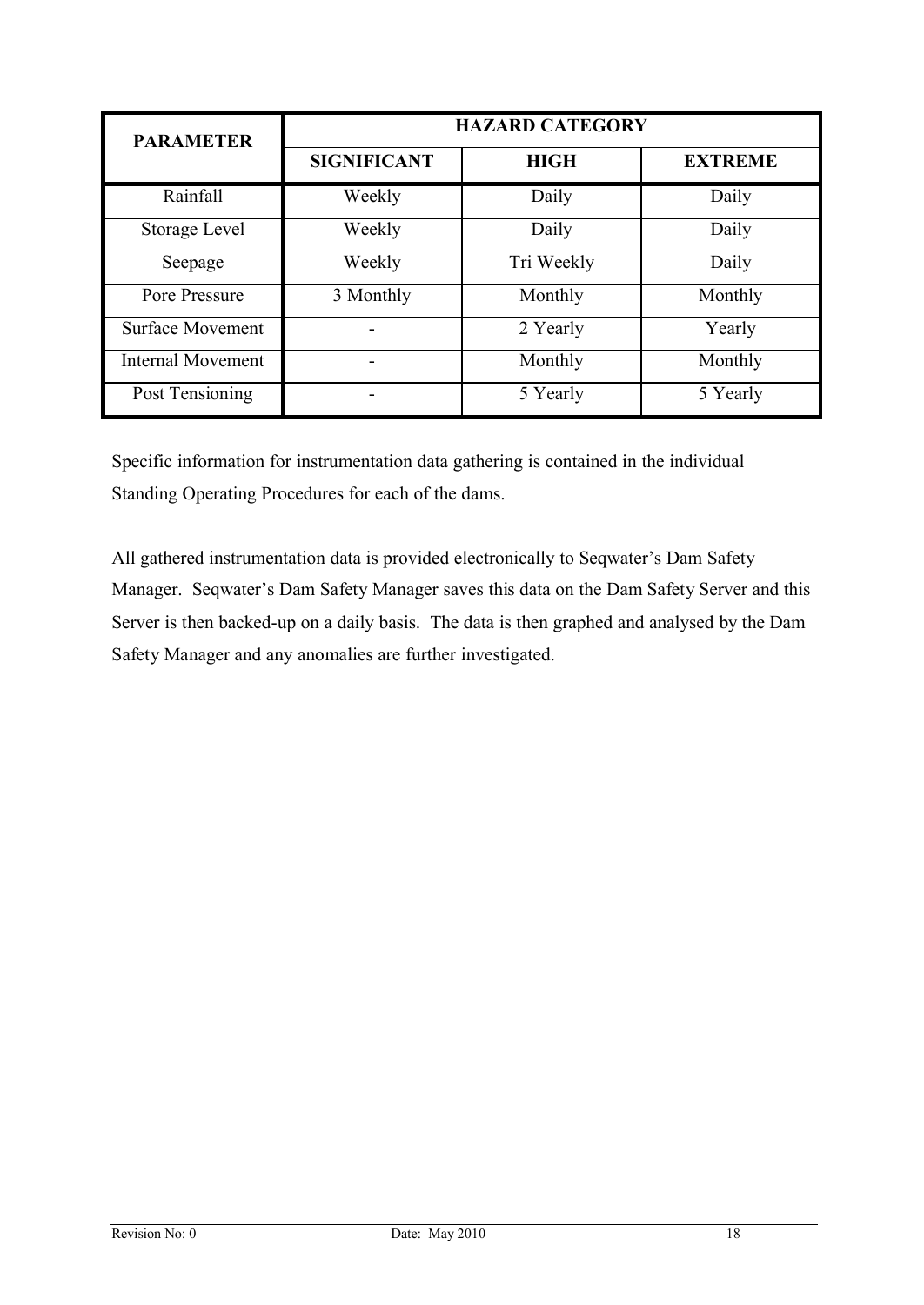| <b>PARAMETER</b>         | <b>HAZARD CATEGORY</b> |             |                |  |  |
|--------------------------|------------------------|-------------|----------------|--|--|
|                          | <b>SIGNIFICANT</b>     | <b>HIGH</b> | <b>EXTREME</b> |  |  |
| Rainfall                 | Weekly                 | Daily       | Daily          |  |  |
| Storage Level            | Weekly                 | Daily       | Daily          |  |  |
| Seepage                  | Weekly                 | Tri Weekly  | Daily          |  |  |
| Pore Pressure            | 3 Monthly              | Monthly     | Monthly        |  |  |
| <b>Surface Movement</b>  |                        | 2 Yearly    | Yearly         |  |  |
| <b>Internal Movement</b> |                        | Monthly     | Monthly        |  |  |
| Post Tensioning          |                        | 5 Yearly    | 5 Yearly       |  |  |

Specific information for instrumentation data gathering is contained in the individual Standing Operating Procedures for each of the dams.

All gathered instrumentation data is provided electronically to Seqwater's Dam Safety Manager. Seqwater's Dam Safety Manager saves this data on the Dam Safety Server and this Server is then backed-up on a daily basis. The data is then graphed and analysed by the Dam Safety Manager and any anomalies are further investigated.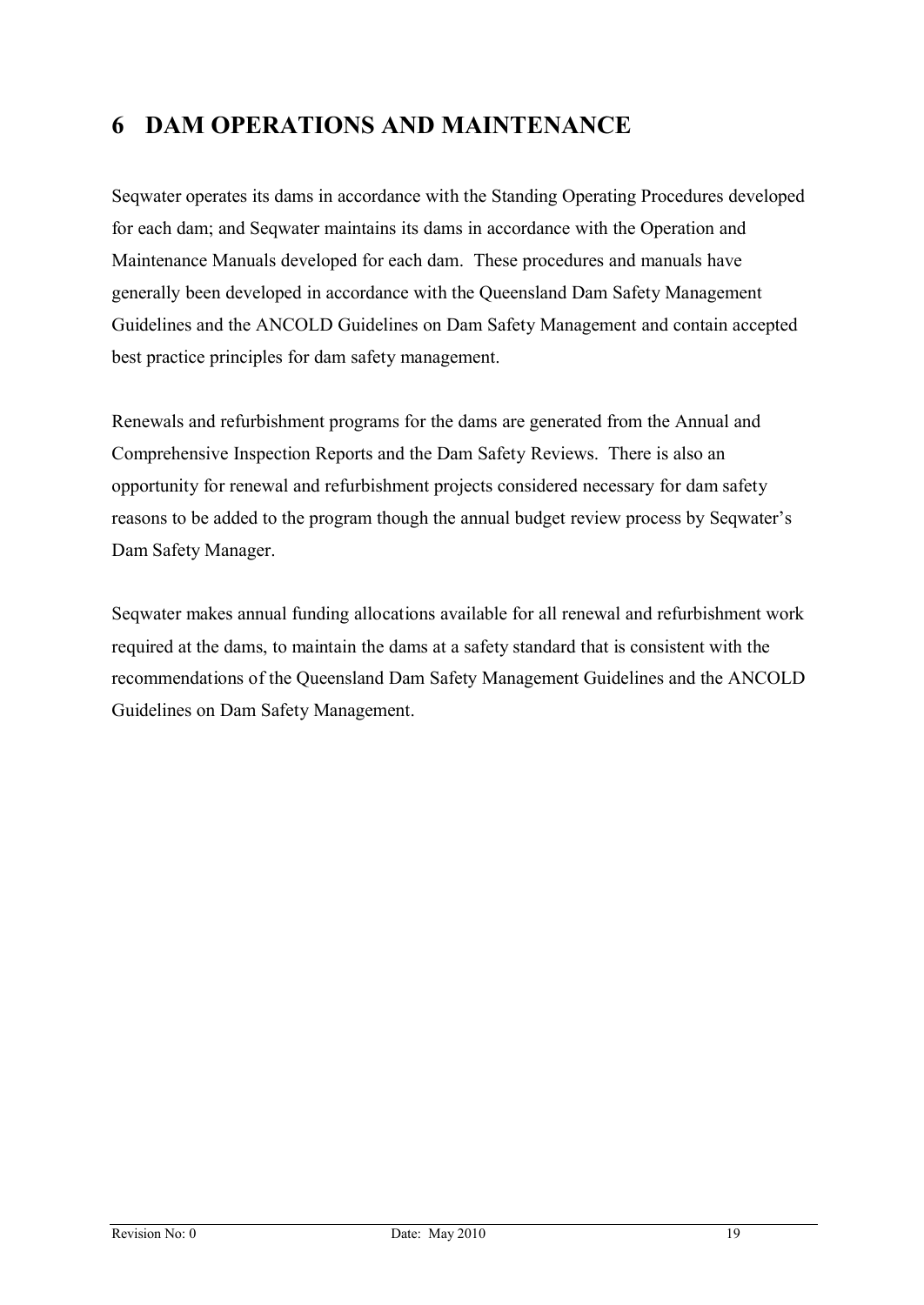# **6 DAM OPERATIONS AND MAINTENANCE**

Seqwater operates its dams in accordance with the Standing Operating Procedures developed for each dam; and Seqwater maintains its dams in accordance with the Operation and Maintenance Manuals developed for each dam. These procedures and manuals have generally been developed in accordance with the Queensland Dam Safety Management Guidelines and the ANCOLD Guidelines on Dam Safety Management and contain accepted best practice principles for dam safety management.

Renewals and refurbishment programs for the dams are generated from the Annual and Comprehensive Inspection Reports and the Dam Safety Reviews. There is also an opportunity for renewal and refurbishment projects considered necessary for dam safety reasons to be added to the program though the annual budget review process by Seqwater's Dam Safety Manager.

Seqwater makes annual funding allocations available for all renewal and refurbishment work required at the dams, to maintain the dams at a safety standard that is consistent with the recommendations of the Queensland Dam Safety Management Guidelines and the ANCOLD Guidelines on Dam Safety Management.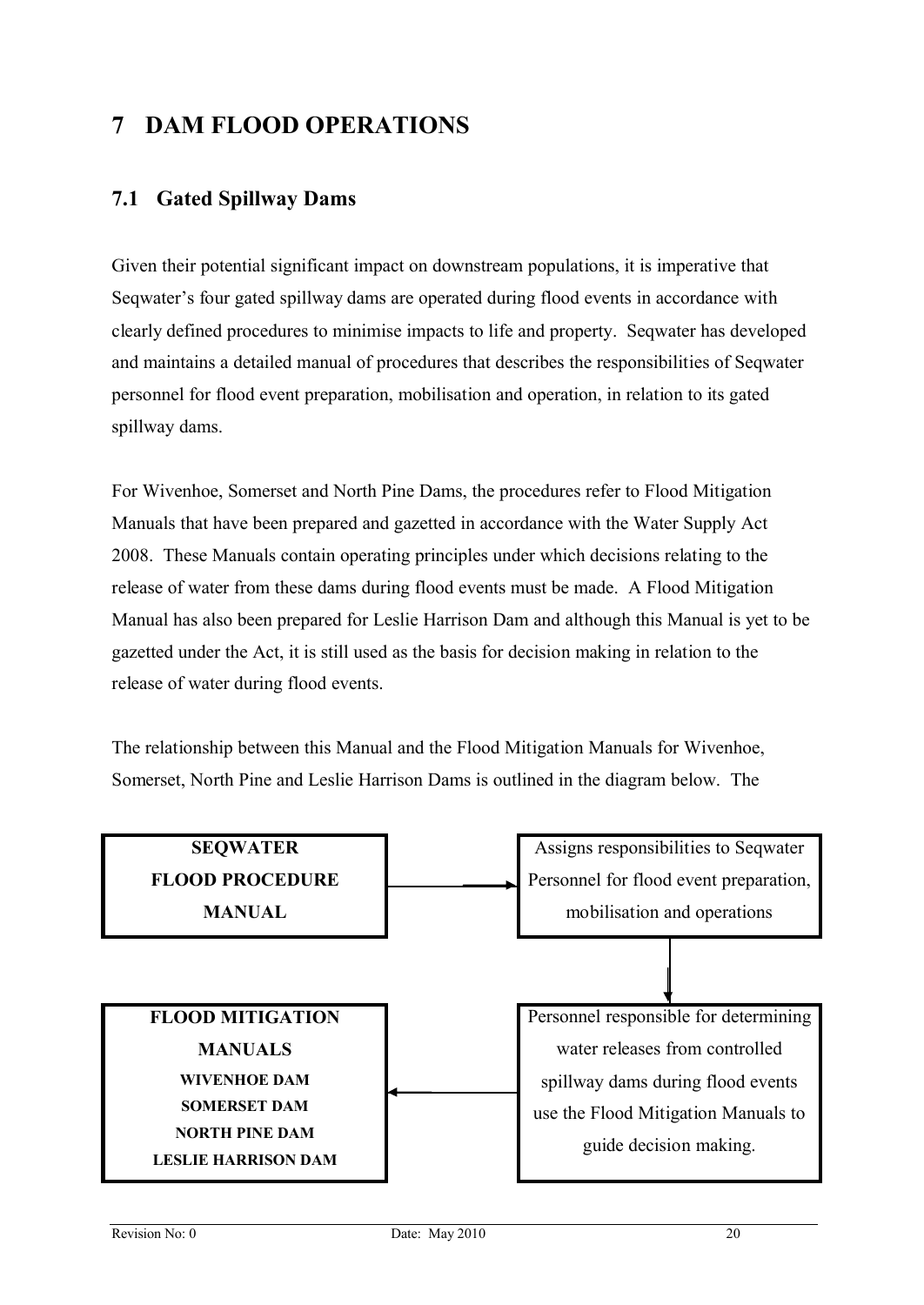# **7 DAM FLOOD OPERATIONS**

#### **7.1 Gated Spillway Dams**

Given their potential significant impact on downstream populations, it is imperative that Seqwater's four gated spillway dams are operated during flood events in accordance with clearly defined procedures to minimise impacts to life and property. Seqwater has developed and maintains a detailed manual of procedures that describes the responsibilities of Seqwater personnel for flood event preparation, mobilisation and operation, in relation to its gated spillway dams.

For Wivenhoe, Somerset and North Pine Dams, the procedures refer to Flood Mitigation Manuals that have been prepared and gazetted in accordance with the Water Supply Act 2008. These Manuals contain operating principles under which decisions relating to the release of water from these dams during flood events must be made. A Flood Mitigation Manual has also been prepared for Leslie Harrison Dam and although this Manual is yet to be gazetted under the Act, it is still used as the basis for decision making in relation to the release of water during flood events.

The relationship between this Manual and the Flood Mitigation Manuals for Wivenhoe, Somerset, North Pine and Leslie Harrison Dams is outlined in the diagram below. The

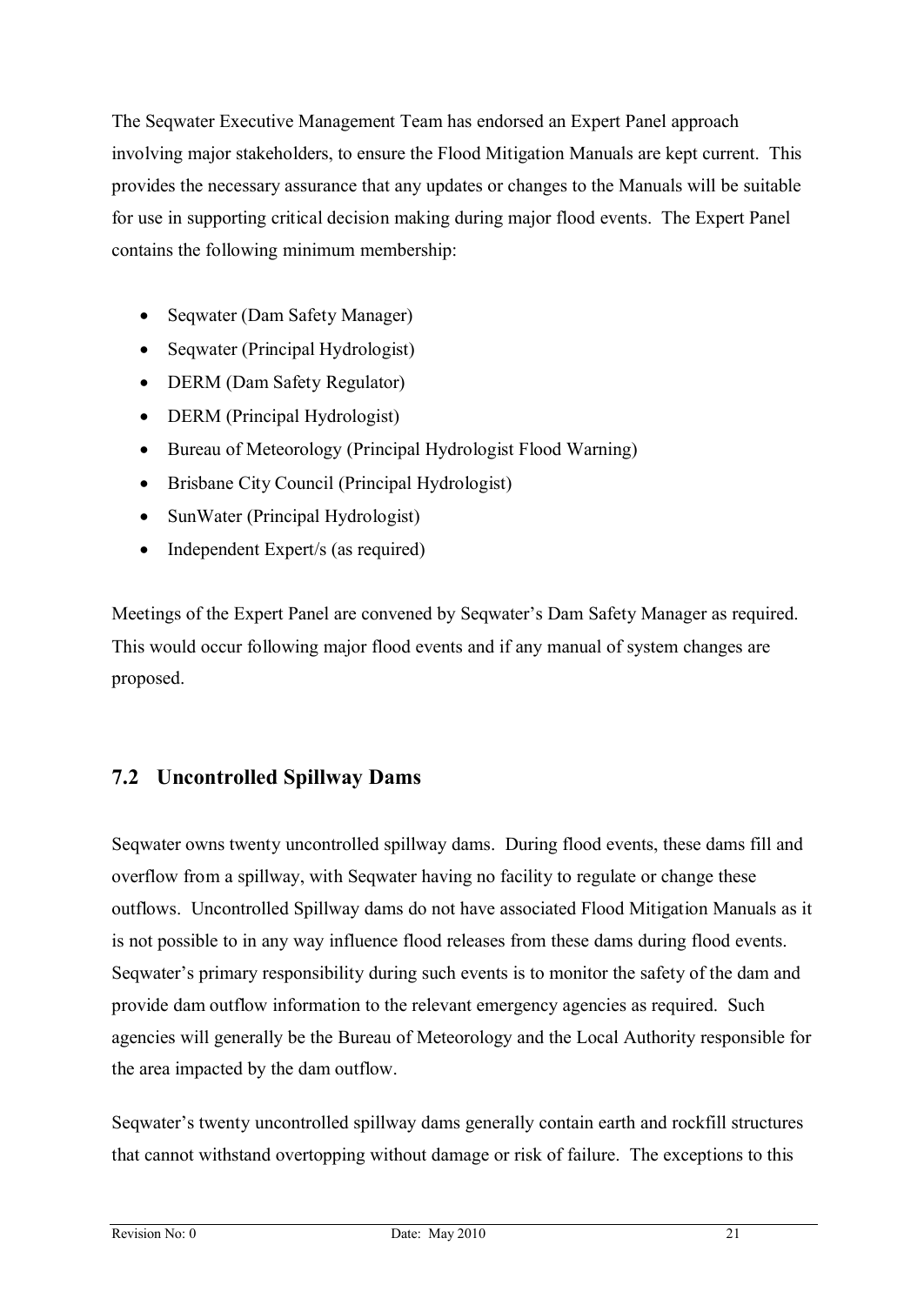The Seqwater Executive Management Team has endorsed an Expert Panel approach involving major stakeholders, to ensure the Flood Mitigation Manuals are kept current. This provides the necessary assurance that any updates or changes to the Manuals will be suitable for use in supporting critical decision making during major flood events. The Expert Panel contains the following minimum membership:

- Seqwater (Dam Safety Manager)
- Seqwater (Principal Hydrologist)
- DERM (Dam Safety Regulator)
- DERM (Principal Hydrologist)
- · Bureau of Meteorology (Principal Hydrologist Flood Warning)
- Brisbane City Council (Principal Hydrologist)
- SunWater (Principal Hydrologist)
- Independent Expert/s (as required)

Meetings of the Expert Panel are convened by Seqwater's Dam Safety Manager as required. This would occur following major flood events and if any manual of system changes are proposed.

#### **7.2 Uncontrolled Spillway Dams**

Seqwater owns twenty uncontrolled spillway dams. During flood events, these dams fill and overflow from a spillway, with Seqwater having no facility to regulate or change these outflows. Uncontrolled Spillway dams do not have associated Flood Mitigation Manuals as it is not possible to in any way influence flood releases from these dams during flood events. Seqwater's primary responsibility during such events is to monitor the safety of the dam and provide dam outflow information to the relevant emergency agencies as required. Such agencies will generally be the Bureau of Meteorology and the Local Authority responsible for the area impacted by the dam outflow.

Seqwater's twenty uncontrolled spillway dams generally contain earth and rockfill structures that cannot withstand overtopping without damage or risk of failure. The exceptions to this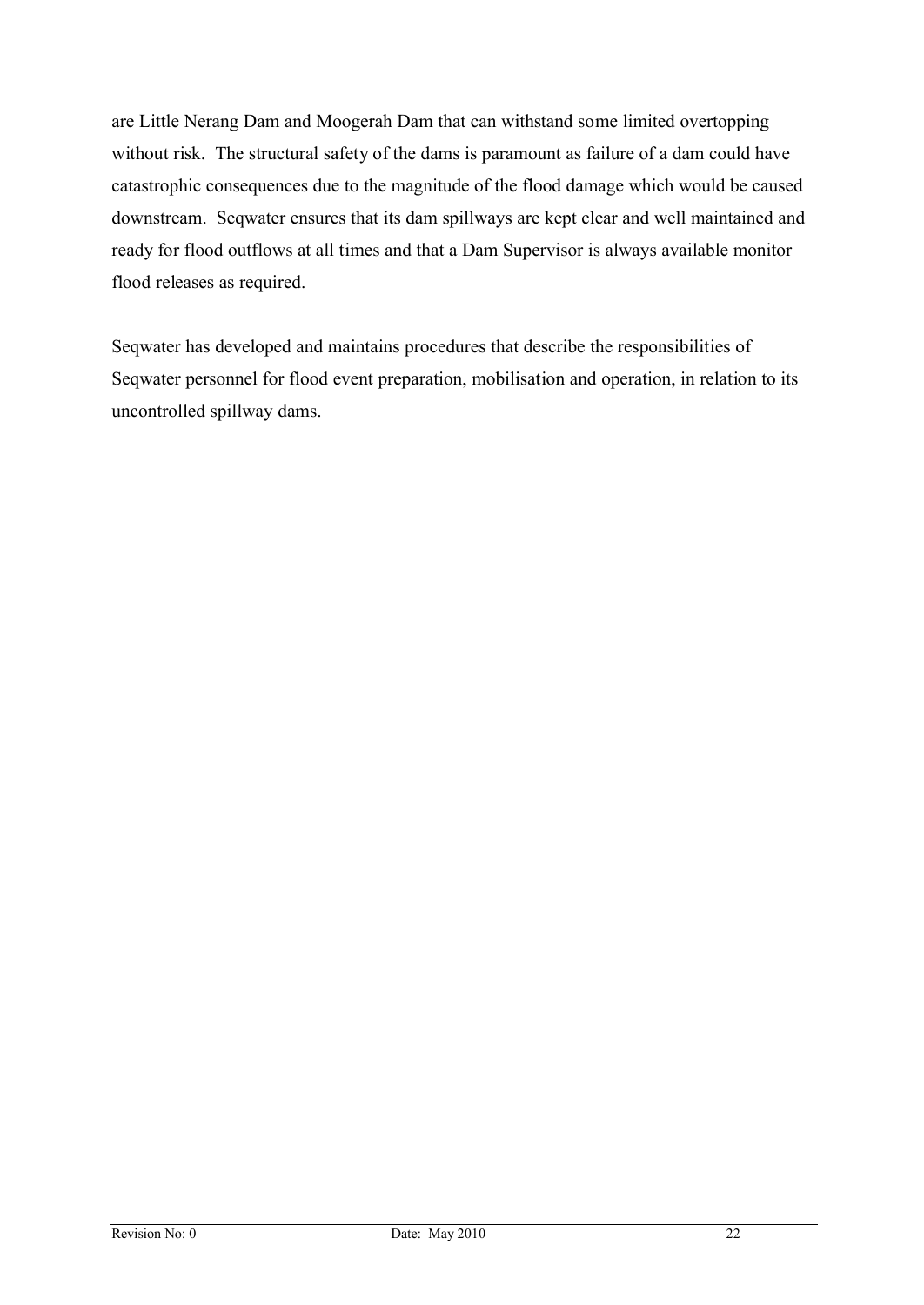are Little Nerang Dam and Moogerah Dam that can withstand some limited overtopping without risk. The structural safety of the dams is paramount as failure of a dam could have catastrophic consequences due to the magnitude of the flood damage which would be caused downstream. Seqwater ensures that its dam spillways are kept clear and well maintained and ready for flood outflows at all times and that a Dam Supervisor is always available monitor flood releases as required.

Seqwater has developed and maintains procedures that describe the responsibilities of Seqwater personnel for flood event preparation, mobilisation and operation, in relation to its uncontrolled spillway dams.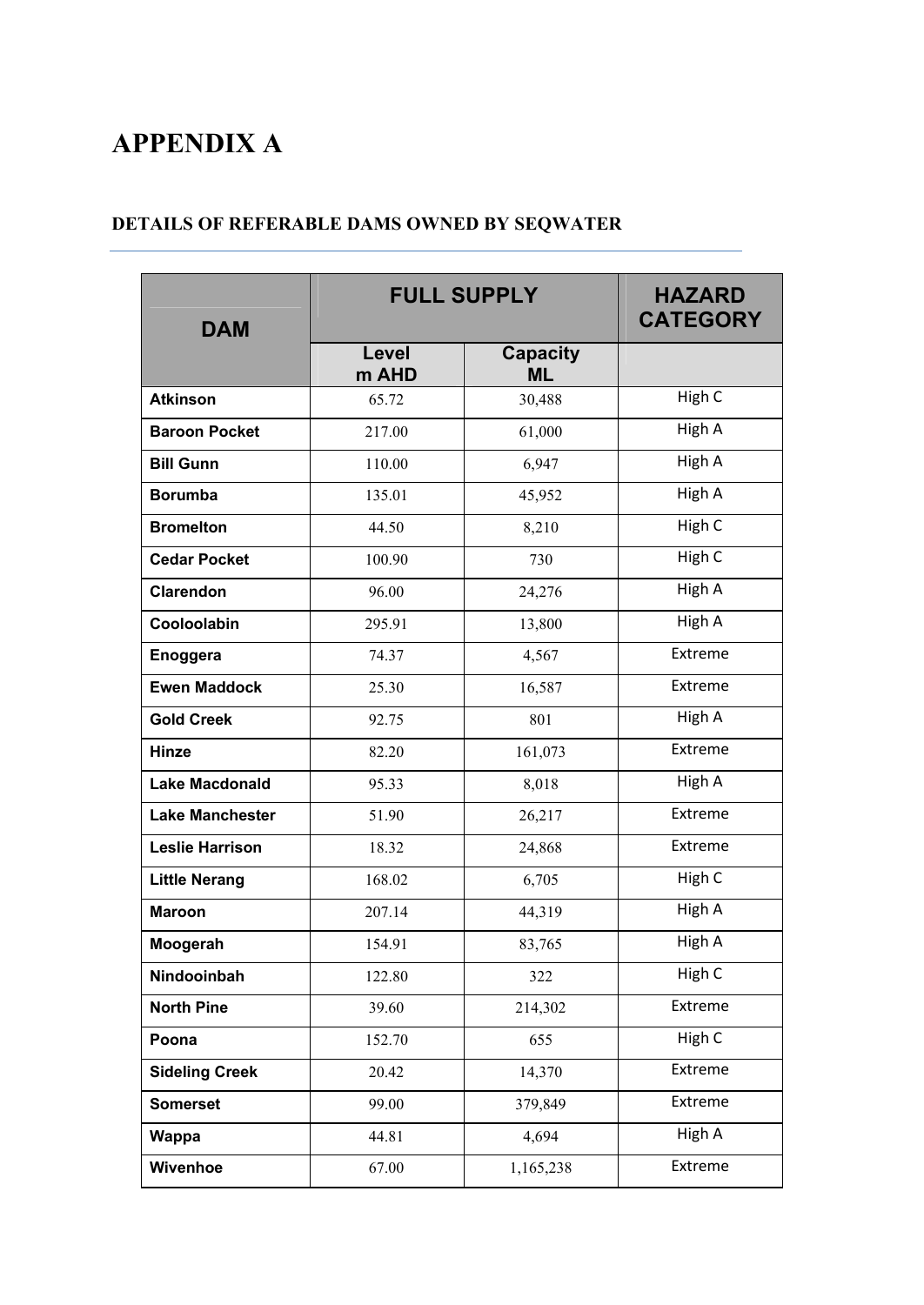# **APPENDIX A**

#### **DETAILS OF REFERABLE DAMS OWNED BY SEQWATER**

| <b>DAM</b>             |                | <b>FULL SUPPLY</b>           | <b>HAZARD</b><br><b>CATEGORY</b> |
|------------------------|----------------|------------------------------|----------------------------------|
|                        | Level<br>m AHD | <b>Capacity</b><br><b>ML</b> |                                  |
| <b>Atkinson</b>        | 65.72          | 30,488                       | High C                           |
| <b>Baroon Pocket</b>   | 217.00         | 61,000                       | High A                           |
| <b>Bill Gunn</b>       | 110.00         | 6,947                        | High A                           |
| <b>Borumba</b>         | 135.01         | 45,952                       | High A                           |
| <b>Bromelton</b>       | 44.50          | 8,210                        | High C                           |
| <b>Cedar Pocket</b>    | 100.90         | 730                          | High C                           |
| <b>Clarendon</b>       | 96.00          | 24,276                       | High A                           |
| Cooloolabin            | 295.91         | 13,800                       | High A                           |
| Enoggera               | 74.37          | 4,567                        | Extreme                          |
| <b>Ewen Maddock</b>    | 25.30          | 16,587                       | Extreme                          |
| <b>Gold Creek</b>      | 92.75          | 801                          | High A                           |
| <b>Hinze</b>           | 82.20          | 161,073                      | Extreme                          |
| <b>Lake Macdonald</b>  | 95.33          | 8,018                        | High A                           |
| <b>Lake Manchester</b> | 51.90          | 26,217                       | Extreme                          |
| <b>Leslie Harrison</b> | 18.32          | 24,868                       | Extreme                          |
| <b>Little Nerang</b>   | 168.02         | 6,705                        | High C                           |
| <b>Maroon</b>          | 207.14         | 44,319                       | High A                           |
| Moogerah               | 154.91         | 83,765                       | High A                           |
| Nindooinbah            | 122.80         | 322                          | High C                           |
| <b>North Pine</b>      | 39.60          | 214,302                      | Extreme                          |
| Poona                  | 152.70         | 655                          | High C                           |
| <b>Sideling Creek</b>  | 20.42          | 14,370                       | Extreme                          |
| <b>Somerset</b>        | 99.00          | 379,849                      | Extreme                          |
| <b>Wappa</b>           | 44.81          | 4,694                        | High A                           |
| Wivenhoe               | 67.00          | 1,165,238                    | Extreme                          |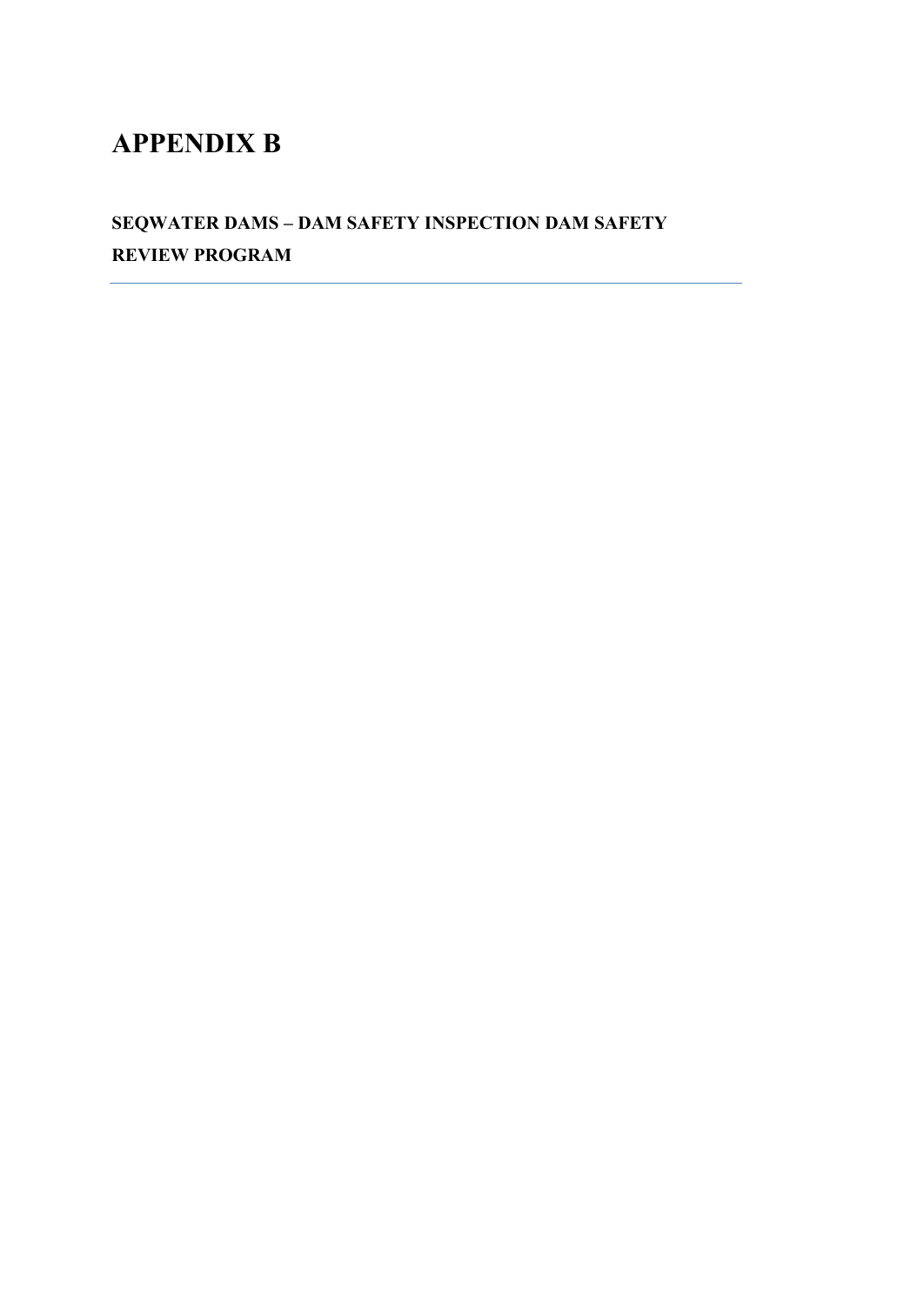# **APPENDIX B**

**SEQWATER DAMS – DAM SAFETY INSPECTION DAM SAFETY REVIEW PROGRAM**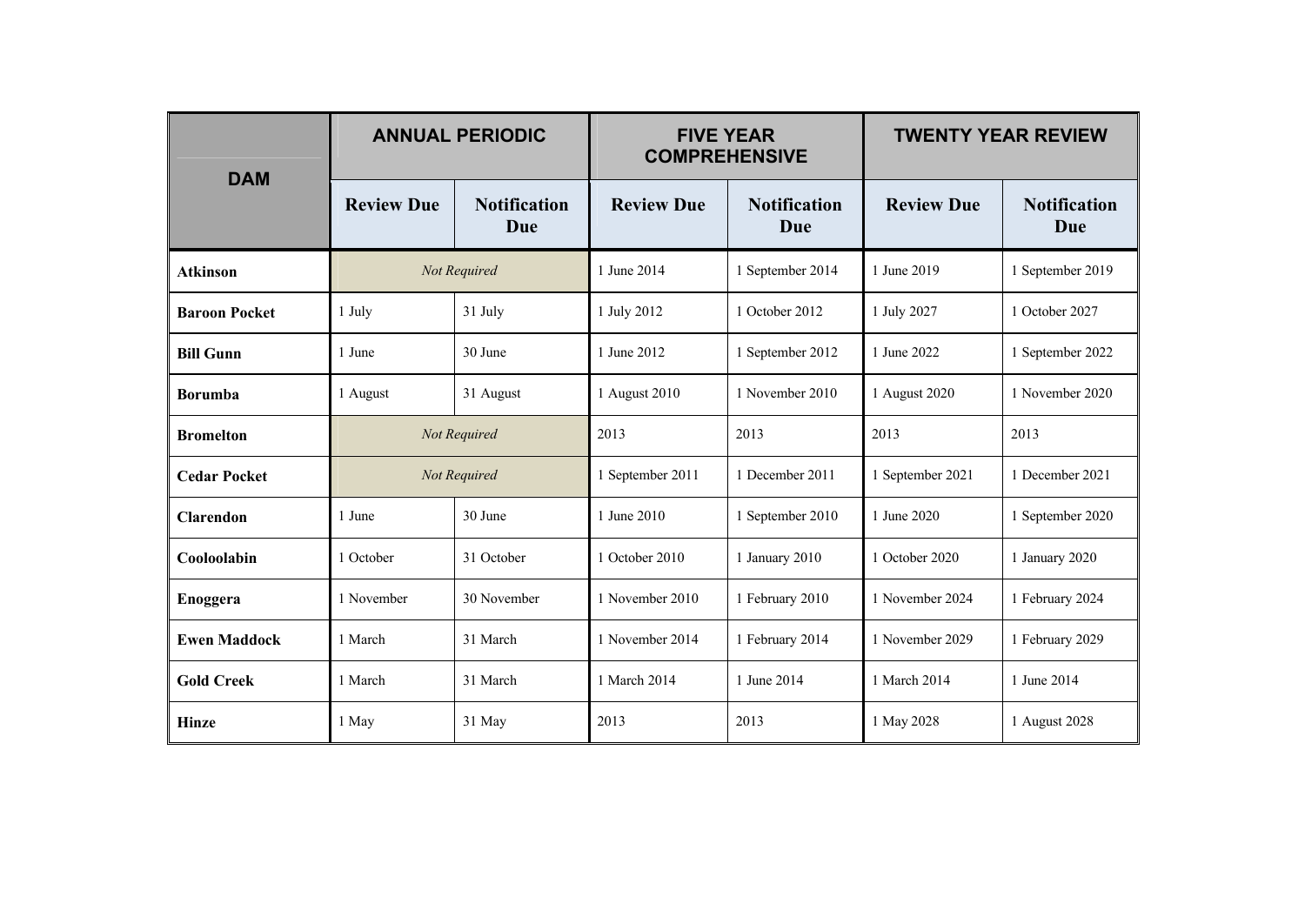|                      |                   | <b>ANNUAL PERIODIC</b>     |                   | <b>FIVE YEAR</b><br><b>COMPREHENSIVE</b> | <b>TWENTY YEAR REVIEW</b> |                            |
|----------------------|-------------------|----------------------------|-------------------|------------------------------------------|---------------------------|----------------------------|
| <b>DAM</b>           | <b>Review Due</b> | <b>Notification</b><br>Due | <b>Review Due</b> | <b>Notification</b><br>Due               | <b>Review Due</b>         | <b>Notification</b><br>Due |
| <b>Atkinson</b>      |                   | Not Required               | 1 June 2014       | 1 September 2014                         | 1 June 2019               | 1 September 2019           |
| <b>Baroon Pocket</b> | 1 July            | 31 July                    | 1 July 2012       | 1 October 2012                           | 1 July 2027               | 1 October 2027             |
| <b>Bill Gunn</b>     | 1 June            | 30 June                    | 1 June 2012       | 1 September 2012                         | 1 June 2022               | 1 September 2022           |
| <b>Borumba</b>       | 1 August          | 31 August                  | 1 August 2010     | 1 November 2010                          | 1 August 2020             | 1 November 2020            |
| <b>Bromelton</b>     |                   | Not Required               | 2013              | 2013                                     | 2013                      | 2013                       |
| <b>Cedar Pocket</b>  |                   | Not Required               | 1 September 2011  | 1 December 2011                          | 1 September 2021          | 1 December 2021            |
| <b>Clarendon</b>     | 1 June            | 30 June                    | 1 June 2010       | 1 September 2010                         | 1 June 2020               | 1 September 2020           |
| Cooloolabin          | 1 October         | 31 October                 | 1 October 2010    | 1 January 2010                           | 1 October 2020            | 1 January 2020             |
| Enoggera             | 1 November        | 30 November                | 1 November 2010   | 1 February 2010                          | 1 November 2024           | 1 February 2024            |
| <b>Ewen Maddock</b>  | 1 March           | 31 March                   | 1 November 2014   | 1 February 2014                          | 1 November 2029           | 1 February 2029            |
| <b>Gold Creek</b>    | 1 March           | 31 March                   | 1 March 2014      | 1 June 2014                              | 1 March 2014              | 1 June 2014                |
| <b>Hinze</b>         | 1 May             | 31 May                     | 2013              | 2013                                     | 1 May 2028                | 1 August 2028              |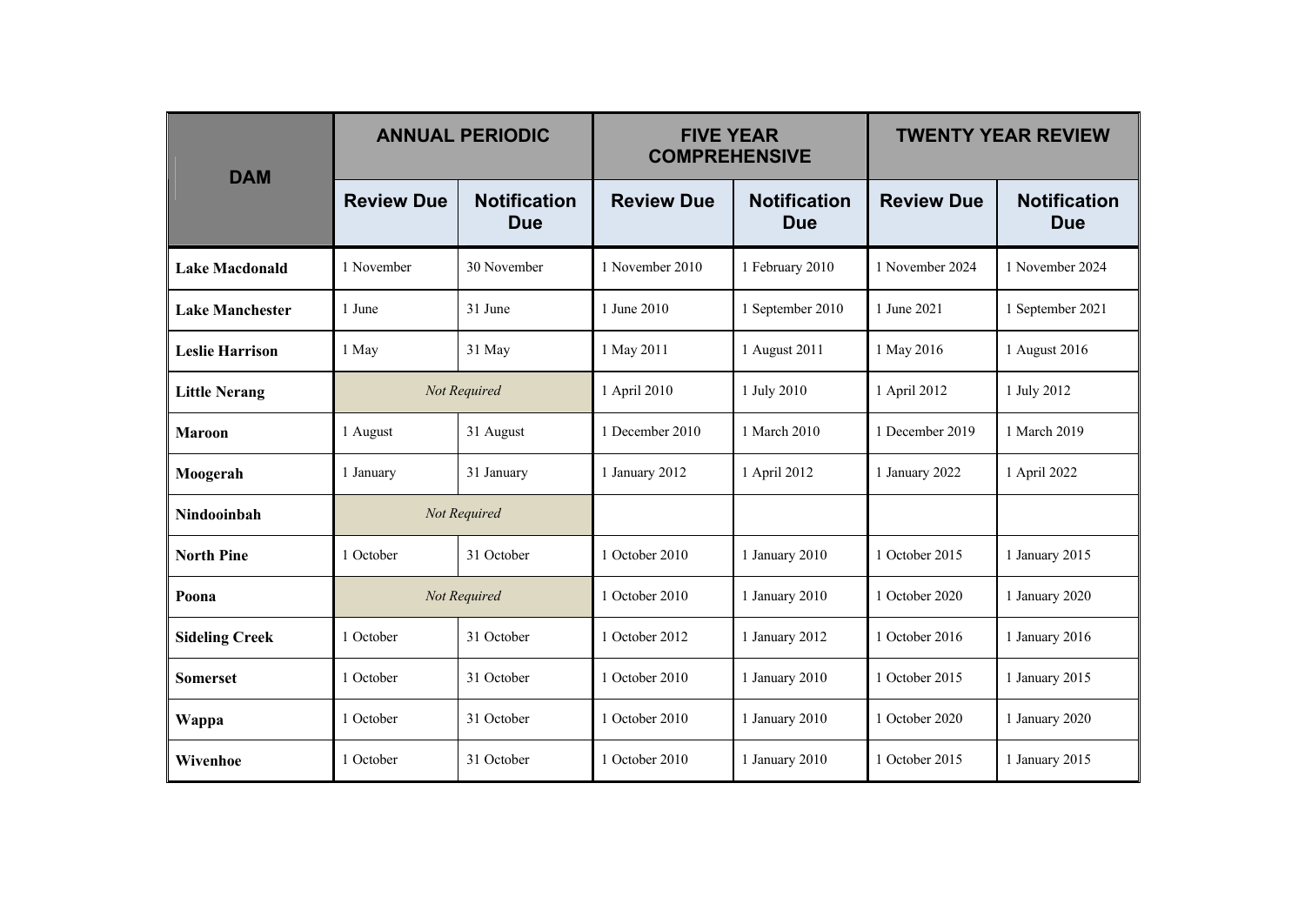| <b>DAM</b>             |                   | <b>ANNUAL PERIODIC</b>            | <b>FIVE YEAR</b><br><b>COMPREHENSIVE</b> |                                   | <b>TWENTY YEAR REVIEW</b> |                                   |
|------------------------|-------------------|-----------------------------------|------------------------------------------|-----------------------------------|---------------------------|-----------------------------------|
|                        | <b>Review Due</b> | <b>Notification</b><br><b>Due</b> | <b>Review Due</b>                        | <b>Notification</b><br><b>Due</b> | <b>Review Due</b>         | <b>Notification</b><br><b>Due</b> |
| <b>Lake Macdonald</b>  | 1 November        | 30 November                       | 1 November 2010                          | 1 February 2010                   | 1 November 2024           | 1 November 2024                   |
| <b>Lake Manchester</b> | 1 June            | 31 June                           | 1 June 2010                              | 1 September 2010                  | 1 June 2021               | 1 September 2021                  |
| <b>Leslie Harrison</b> | 1 May             | 31 May                            | 1 May 2011                               | 1 August 2011                     | 1 May 2016                | 1 August 2016                     |
| <b>Little Nerang</b>   |                   | Not Required                      | 1 April 2010                             | 1 July 2010                       | 1 April 2012              | 1 July 2012                       |
| <b>Maroon</b>          | 1 August          | 31 August                         | 1 December 2010                          | 1 March 2010                      | 1 December 2019           | 1 March 2019                      |
| Moogerah               | 1 January         | 31 January                        | 1 January 2012                           | 1 April 2012                      | 1 January 2022            | 1 April 2022                      |
| Nindooinbah            | Not Required      |                                   |                                          |                                   |                           |                                   |
| <b>North Pine</b>      | 1 October         | 31 October                        | 1 October 2010                           | 1 January 2010                    | 1 October 2015            | 1 January 2015                    |
| Poona                  |                   | Not Required                      | 1 October 2010                           | 1 January 2010                    | 1 October 2020            | 1 January 2020                    |
| <b>Sideling Creek</b>  | 1 October         | 31 October                        | 1 October 2012                           | 1 January 2012                    | 1 October 2016            | 1 January 2016                    |
| <b>Somerset</b>        | 1 October         | 31 October                        | 1 October 2010                           | 1 January 2010                    | 1 October 2015            | 1 January 2015                    |
| Wappa                  | 1 October         | 31 October                        | 1 October 2010                           | 1 January 2010                    | 1 October 2020            | 1 January 2020                    |
| Wivenhoe               | 1 October         | 31 October                        | 1 October 2010                           | 1 January 2010                    | 1 October 2015            | 1 January 2015                    |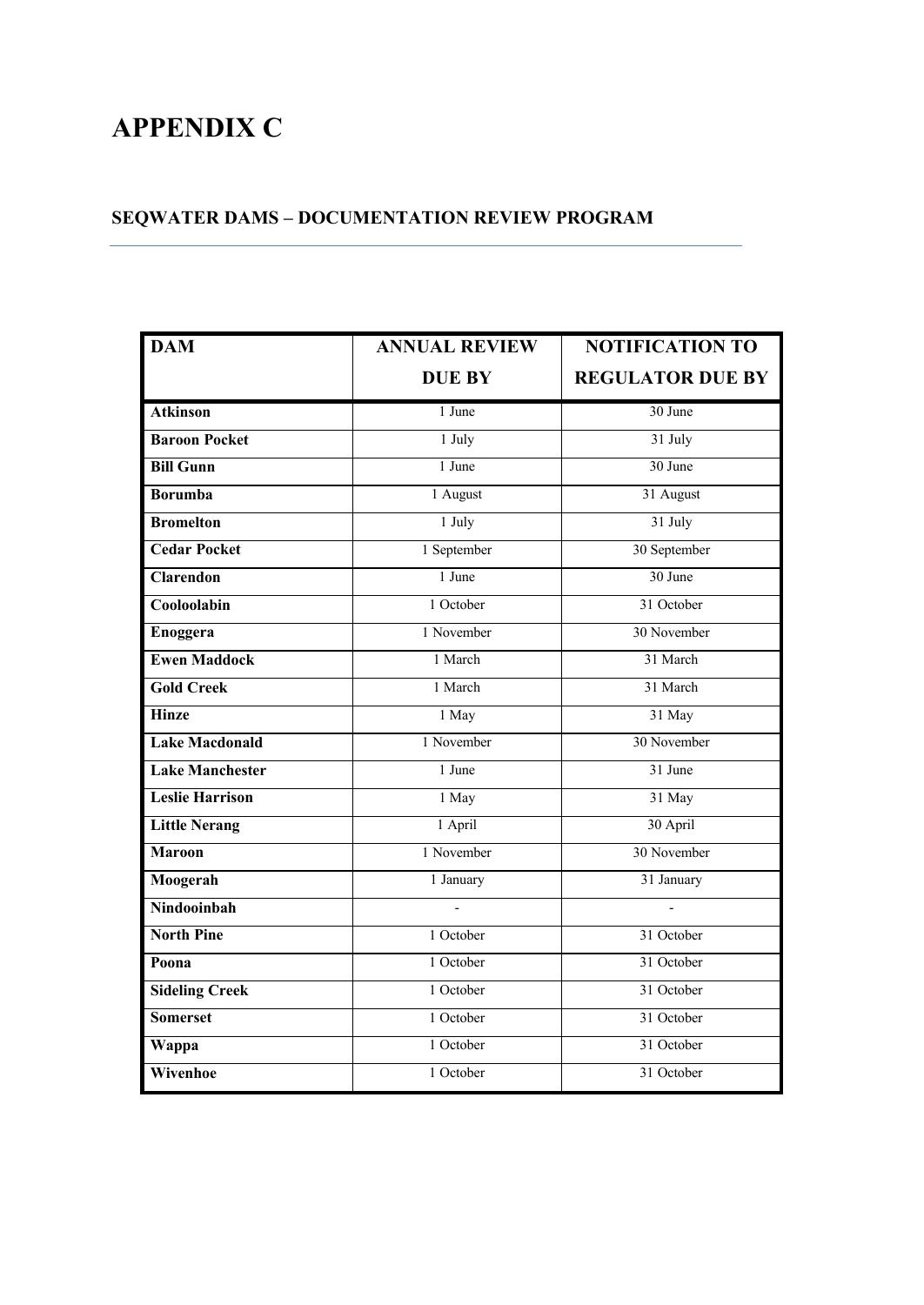# **APPENDIX C**

## **SEQWATER DAMS – DOCUMENTATION REVIEW PROGRAM**

| <b>DAM</b>             | <b>ANNUAL REVIEW</b> | <b>NOTIFICATION TO</b>  |
|------------------------|----------------------|-------------------------|
|                        | <b>DUE BY</b>        | <b>REGULATOR DUE BY</b> |
| <b>Atkinson</b>        | 1 June               | 30 June                 |
| <b>Baroon Pocket</b>   | 1 July               | 31 July                 |
| <b>Bill Gunn</b>       | 1 June               | 30 June                 |
| <b>Borumba</b>         | 1 August             | 31 August               |
| <b>Bromelton</b>       | 1 July               | 31 July                 |
| <b>Cedar Pocket</b>    | 1 September          | 30 September            |
| <b>Clarendon</b>       | 1 June               | 30 June                 |
| Cooloolabin            | 1 October            | 31 October              |
| Enoggera               | 1 November           | 30 November             |
| <b>Ewen Maddock</b>    | 1 March              | 31 March                |
| <b>Gold Creek</b>      | 1 March              | 31 March                |
| <b>Hinze</b>           | 1 May                | 31 May                  |
| <b>Lake Macdonald</b>  | 1 November           | 30 November             |
| <b>Lake Manchester</b> | 1 June               | 31 June                 |
| <b>Leslie Harrison</b> | 1 May                | 31 May                  |
| <b>Little Nerang</b>   | 1 April              | 30 April                |
| <b>Maroon</b>          | 1 November           | 30 November             |
| Moogerah               | 1 January            | 31 January              |
| Nindooinbah            |                      |                         |
| <b>North Pine</b>      | 1 October            | 31 October              |
| Poona                  | 1 October            | 31 October              |
| <b>Sideling Creek</b>  | 1 October            | 31 October              |
| <b>Somerset</b>        | 1 October            | 31 October              |
| Wappa                  | 1 October            | 31 October              |
| Wivenhoe               | 1 October            | 31 October              |